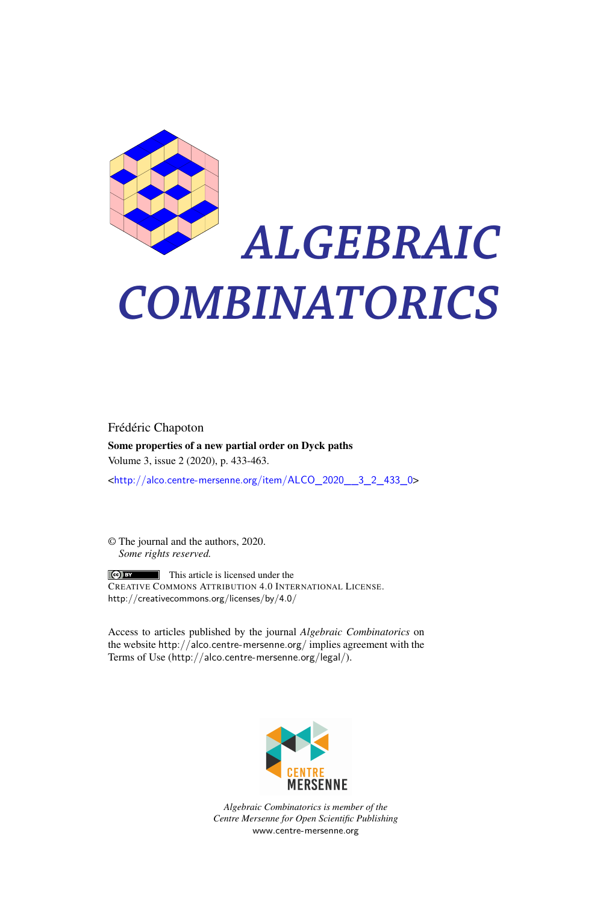

# *ALGEBRAIC COMBINATORICS*

Frédéric Chapoton Some properties of a new partial order on Dyck paths Volume 3, issue 2 (2020), p. 433-463.

<[http://alco.centre-mersenne.org/item/ALCO\\_2020\\_\\_3\\_2\\_433\\_0](http://alco.centre-mersenne.org/item/ALCO_2020__3_2_433_0)>

© The journal and the authors, 2020. *Some rights reserved.*

**C** EX This article is licensed under the CREATIVE COMMONS ATTRIBUTION 4.0 INTERNATIONAL LICENSE. <http://creativecommons.org/licenses/by/4.0/>

Access to articles published by the journal *Algebraic Combinatorics* on the website <http://alco.centre-mersenne.org/> implies agreement with the Terms of Use (<http://alco.centre-mersenne.org/legal/>).



*Algebraic Combinatorics is member of the Centre Mersenne for Open Scientific Publishing* <www.centre-mersenne.org>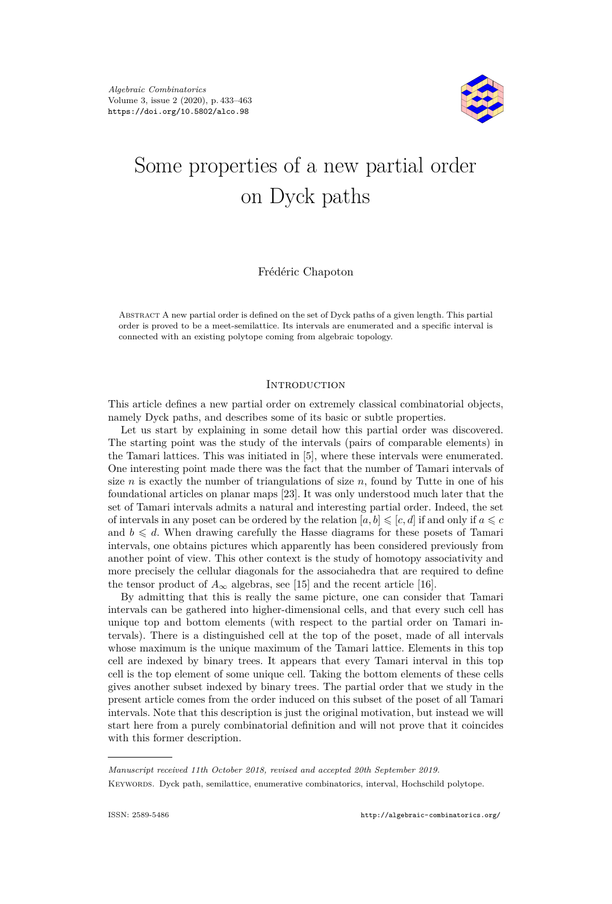

# Some properties of a new partial order on Dyck paths

Frédéric Chapoton

Abstract A new partial order is defined on the set of Dyck paths of a given length. This partial order is proved to be a meet-semilattice. Its intervals are enumerated and a specific interval is connected with an existing polytope coming from algebraic topology.

# **INTRODUCTION**

This article defines a new partial order on extremely classical combinatorial objects, namely Dyck paths, and describes some of its basic or subtle properties.

Let us start by explaining in some detail how this partial order was discovered. The starting point was the study of the intervals (pairs of comparable elements) in the Tamari lattices. This was initiated in [\[5\]](#page-30-0), where these intervals were enumerated. One interesting point made there was the fact that the number of Tamari intervals of size *n* is exactly the number of triangulations of size *n*, found by Tutte in one of his foundational articles on planar maps [\[23\]](#page-31-0). It was only understood much later that the set of Tamari intervals admits a natural and interesting partial order. Indeed, the set of intervals in any poset can be ordered by the relation  $[a, b] \leqslant [c, d]$  if and only if  $a \leqslant c$ and  $b \leq d$ . When drawing carefully the Hasse diagrams for these posets of Tamari intervals, one obtains pictures which apparently has been considered previously from another point of view. This other context is the study of homotopy associativity and more precisely the cellular diagonals for the associahedra that are required to define the tensor product of  $A_{\infty}$  algebras, see [\[15\]](#page-30-1) and the recent article [\[16\]](#page-30-2).

By admitting that this is really the same picture, one can consider that Tamari intervals can be gathered into higher-dimensional cells, and that every such cell has unique top and bottom elements (with respect to the partial order on Tamari intervals). There is a distinguished cell at the top of the poset, made of all intervals whose maximum is the unique maximum of the Tamari lattice. Elements in this top cell are indexed by binary trees. It appears that every Tamari interval in this top cell is the top element of some unique cell. Taking the bottom elements of these cells gives another subset indexed by binary trees. The partial order that we study in the present article comes from the order induced on this subset of the poset of all Tamari intervals. Note that this description is just the original motivation, but instead we will start here from a purely combinatorial definition and will not prove that it coincides with this former description.

*Manuscript received 11th October 2018, revised and accepted 20th September 2019.* Keywords. Dyck path, semilattice, enumerative combinatorics, interval, Hochschild polytope.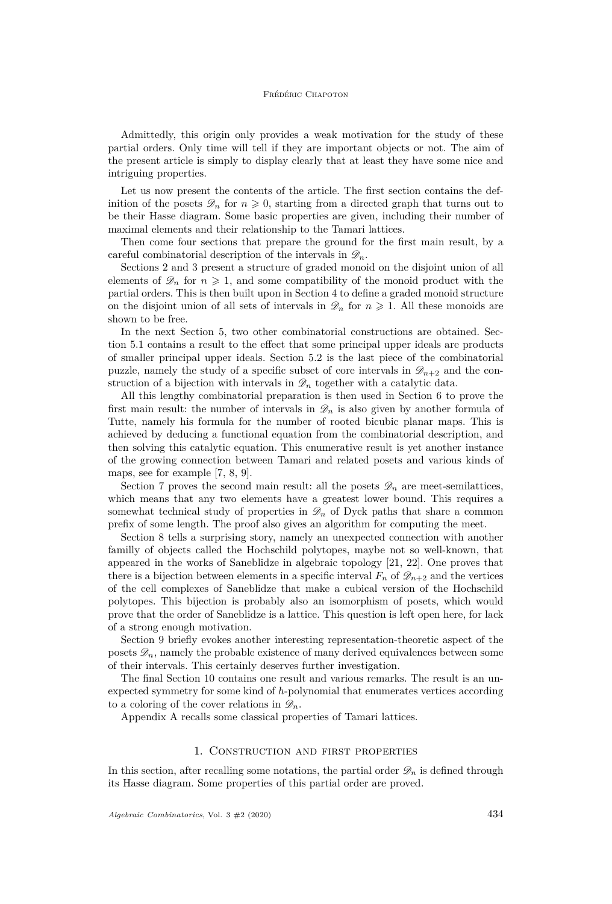Admittedly, this origin only provides a weak motivation for the study of these partial orders. Only time will tell if they are important objects or not. The aim of the present article is simply to display clearly that at least they have some nice and intriguing properties.

Let us now present the contents of the article. The first section contains the definition of the posets  $\mathscr{D}_n$  for  $n \geq 0$ , starting from a directed graph that turns out to be their Hasse diagram. Some basic properties are given, including their number of maximal elements and their relationship to the Tamari lattices.

Then come four sections that prepare the ground for the first main result, by a careful combinatorial description of the intervals in  $\mathscr{D}_n$ .

Sections [2](#page-6-0) and [3](#page-8-0) present a structure of graded monoid on the disjoint union of all elements of  $\mathscr{D}_n$  for  $n \geq 1$ , and some compatibility of the monoid product with the partial orders. This is then built upon in Section [4](#page-10-0) to define a graded monoid structure on the disjoint union of all sets of intervals in  $\mathcal{D}_n$  for  $n \geq 1$ . All these monoids are shown to be free.

In the next Section [5,](#page-12-0) two other combinatorial constructions are obtained. Section [5.1](#page-12-1) contains a result to the effect that some principal upper ideals are products of smaller principal upper ideals. Section [5.2](#page-13-0) is the last piece of the combinatorial puzzle, namely the study of a specific subset of core intervals in  $\mathscr{D}_{n+2}$  and the construction of a bijection with intervals in  $\mathscr{D}_n$  together with a catalytic data.

All this lengthy combinatorial preparation is then used in Section [6](#page-15-0) to prove the first main result: the number of intervals in  $\mathscr{D}_n$  is also given by another formula of Tutte, namely his formula for the number of rooted bicubic planar maps. This is achieved by deducing a functional equation from the combinatorial description, and then solving this catalytic equation. This enumerative result is yet another instance of the growing connection between Tamari and related posets and various kinds of maps, see for example [\[7,](#page-30-3) [8,](#page-30-4) [9\]](#page-30-5).

Section [7](#page-17-0) proves the second main result: all the posets  $\mathscr{D}_n$  are meet-semilattices, which means that any two elements have a greatest lower bound. This requires a somewhat technical study of properties in  $\mathscr{D}_n$  of Dyck paths that share a common prefix of some length. The proof also gives an algorithm for computing the meet.

Section [8](#page-21-0) tells a surprising story, namely an unexpected connection with another familly of objects called the Hochschild polytopes, maybe not so well-known, that appeared in the works of Saneblidze in algebraic topology [\[21,](#page-31-1) [22\]](#page-31-2). One proves that there is a bijection between elements in a specific interval  $F_n$  of  $\mathscr{D}_{n+2}$  and the vertices of the cell complexes of Saneblidze that make a cubical version of the Hochschild polytopes. This bijection is probably also an isomorphism of posets, which would prove that the order of Saneblidze is a lattice. This question is left open here, for lack of a strong enough motivation.

Section [9](#page-27-0) briefly evokes another interesting representation-theoretic aspect of the posets  $\mathscr{D}_n$ , namely the probable existence of many derived equivalences between some of their intervals. This certainly deserves further investigation.

The final Section [10](#page-28-0) contains one result and various remarks. The result is an unexpected symmetry for some kind of *h*-polynomial that enumerates vertices according to a coloring of the cover relations in  $\mathscr{D}_n$ .

Appendix [A](#page-29-0) recalls some classical properties of Tamari lattices.

#### 1. Construction and first properties

In this section, after recalling some notations, the partial order  $\mathscr{D}_n$  is defined through its Hasse diagram. Some properties of this partial order are proved.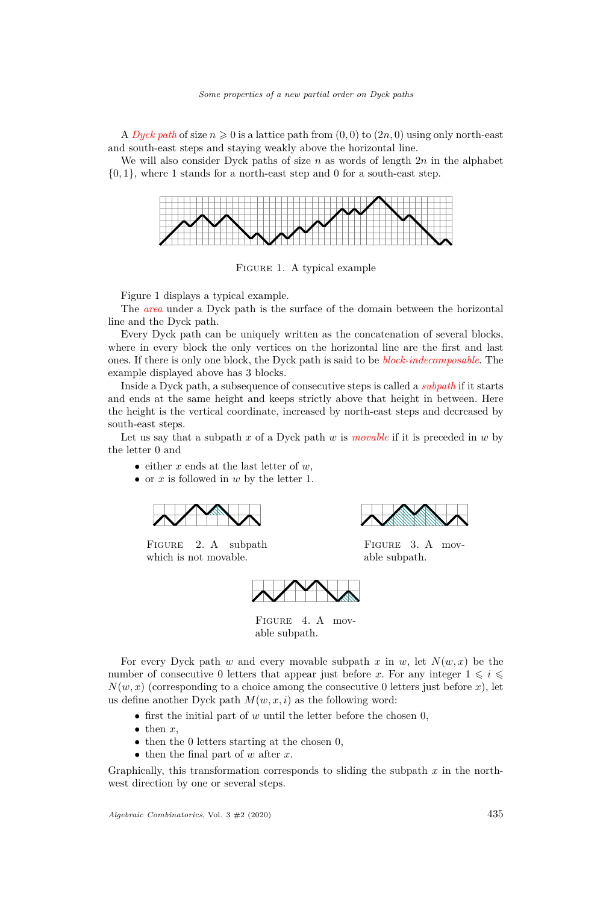A *Dyck path* of size  $n \geq 0$  is a lattice path from  $(0,0)$  to  $(2n,0)$  using only north-east and south-east steps and staying weakly above the horizontal line.

We will also consider Dyck paths of size *n* as words of length 2*n* in the alphabet  $\{0,1\}$ , where 1 stands for a north-east step and 0 for a south-east step.



<span id="page-3-0"></span>Figure 1. A typical example

Figure [1](#page-3-0) displays a typical example.

The *area* under a Dyck path is the surface of the domain between the horizontal line and the Dyck path.

Every Dyck path can be uniquely written as the concatenation of several blocks, where in every block the only vertices on the horizontal line are the first and last ones. If there is only one block, the Dyck path is said to be *block-indecomposable*. The example displayed above has 3 blocks.

Inside a Dyck path, a subsequence of consecutive steps is called a *subpath* if it starts and ends at the same height and keeps strictly above that height in between. Here the height is the vertical coordinate, increased by north-east steps and decreased by south-east steps.

Let us say that a subpath  $x$  of a Dyck path  $w$  is *movable* if it is preceded in  $w$  by the letter 0 and

- either *x* ends at the last letter of *w*,
- or *x* is followed in *w* by the letter 1.

$$
\overbrace{\qquad \qquad }
$$

FIGURE 2. A subpath which is not movable.



Figure 3. A movable subpath.



FIGURE 4. A movable subpath.

For every Dyck path *w* and every movable subpath *x* in *w*, let  $N(w, x)$  be the number of consecutive 0 letters that appear just before x. For any integer  $1 \leq i \leq$  $N(w, x)$  (corresponding to a choice among the consecutive 0 letters just before x), let us define another Dyck path  $M(w, x, i)$  as the following word:

- first the initial part of *w* until the letter before the chosen 0,
- $\bullet$  then  $x$ ,
- then the 0 letters starting at the chosen 0,
- then the final part of *w* after *x*.

Graphically, this transformation corresponds to sliding the subpath *x* in the northwest direction by one or several steps.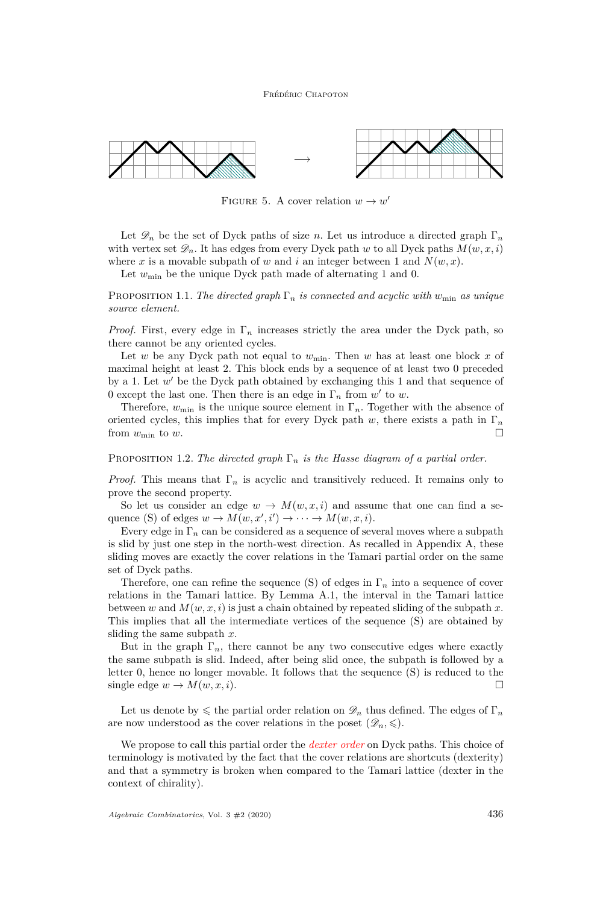#### Frédéric Chapoton



FIGURE 5. A cover relation  $w \to w'$ 

Let  $\mathscr{D}_n$  be the set of Dyck paths of size *n*. Let us introduce a directed graph  $\Gamma_n$ with vertex set  $\mathscr{D}_n$ . It has edges from every Dyck path *w* to all Dyck paths  $M(w, x, i)$ where x is a movable subpath of w and i an integer between 1 and  $N(w, x)$ .

Let  $w_{\text{min}}$  be the unique Dyck path made of alternating 1 and 0.

PROPOSITION 1.1. *The directed graph*  $\Gamma_n$  *is connected and acyclic with*  $w_{\min}$  *as unique source element.*

*Proof.* First, every edge in  $\Gamma_n$  increases strictly the area under the Dyck path, so there cannot be any oriented cycles.

Let *w* be any Dyck path not equal to  $w_{\min}$ . Then *w* has at least one block *x* of maximal height at least 2. This block ends by a sequence of at least two 0 preceded by a 1. Let  $w'$  be the Dyck path obtained by exchanging this 1 and that sequence of 0 except the last one. Then there is an edge in  $\Gamma_n$  from  $w'$  to  $w$ .

Therefore,  $w_{\text{min}}$  is the unique source element in  $\Gamma_n$ . Together with the absence of oriented cycles, this implies that for every Dyck path  $w$ , there exists a path in  $\Gamma_n$ from  $w_{\min}$  to  $w$ .

#### PROPOSITION 1.2. *The directed graph*  $\Gamma_n$  *is the Hasse diagram of a partial order.*

*Proof.* This means that  $\Gamma_n$  is acyclic and transitively reduced. It remains only to prove the second property.

So let us consider an edge  $w \to M(w, x, i)$  and assume that one can find a sequence (S) of edges  $w \to M(w, x', i') \to \cdots \to M(w, x, i)$ .

Every edge in  $\Gamma_n$  can be considered as a sequence of several moves where a subpath is slid by just one step in the north-west direction. As recalled in Appendix [A,](#page-29-0) these sliding moves are exactly the cover relations in the Tamari partial order on the same set of Dyck paths.

Therefore, one can refine the sequence (S) of edges in Γ*<sup>n</sup>* into a sequence of cover relations in the Tamari lattice. By Lemma [A.1,](#page-29-1) the interval in the Tamari lattice between *w* and  $M(w, x, i)$  is just a chain obtained by repeated sliding of the subpath x. This implies that all the intermediate vertices of the sequence (S) are obtained by sliding the same subpath *x*.

But in the graph  $\Gamma_n$ , there cannot be any two consecutive edges where exactly the same subpath is slid. Indeed, after being slid once, the subpath is followed by a letter 0, hence no longer movable. It follows that the sequence (S) is reduced to the single edge  $w \to M(w, x, i)$ .

Let us denote by  $\leq$  the partial order relation on  $\mathscr{D}_n$  thus defined. The edges of  $\Gamma_n$ are now understood as the cover relations in the poset  $(\mathscr{D}_n, \leqslant)$ .

We propose to call this partial order the *dexter order* on Dyck paths. This choice of terminology is motivated by the fact that the cover relations are shortcuts (dexterity) and that a symmetry is broken when compared to the Tamari lattice (dexter in the context of chirality).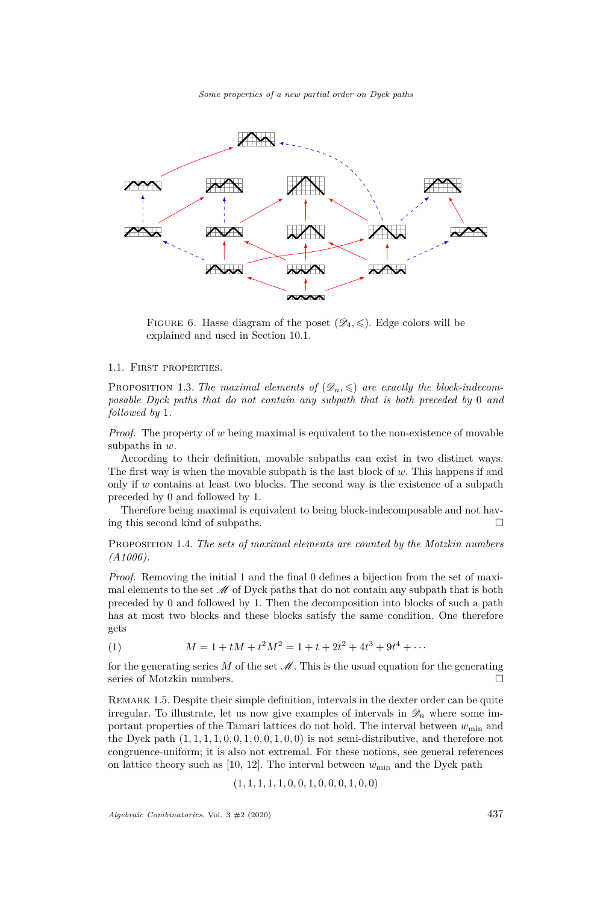*Some properties of a new partial order on Dyck paths*



<span id="page-5-0"></span>FIGURE 6. Hasse diagram of the poset  $(\mathscr{D}_4, \leqslant)$ . Edge colors will be explained and used in Section [10.1.](#page-28-1)

#### 1.1. First properties.

PROPOSITION 1.3. The maximal elements of  $(\mathscr{D}_n, \leqslant)$  are exactly the block-indecom*posable Dyck paths that do not contain any subpath that is both preceded by* 0 *and followed by* 1*.*

*Proof.* The property of *w* being maximal is equivalent to the non-existence of movable subpaths in *w*.

According to their definition, movable subpaths can exist in two distinct ways. The first way is when the movable subpath is the last block of *w*. This happens if and only if *w* contains at least two blocks. The second way is the existence of a subpath preceded by 0 and followed by 1.

Therefore being maximal is equivalent to being block-indecomposable and not having this second kind of subpaths.

Proposition 1.4. *The sets of maximal elements are counted by the Motzkin numbers [\(A1006\)](https://oeis.org/A1006).*

*Proof.* Removing the initial 1 and the final 0 defines a bijection from the set of maximal elements to the set  $\mathcal M$  of Dyck paths that do not contain any subpath that is both preceded by 0 and followed by 1. Then the decomposition into blocks of such a path has at most two blocks and these blocks satisfy the same condition. One therefore gets

(1) 
$$
M = 1 + tM + t^2M^2 = 1 + t + 2t^2 + 4t^3 + 9t^4 + \cdots
$$

for the generating series  $M$  of the set  $\mathcal M$ . This is the usual equation for the generating series of Motzkin numbers.

Remark 1.5. Despite their simple definition, intervals in the dexter order can be quite irregular. To illustrate, let us now give examples of intervals in  $\mathscr{D}_n$  where some important properties of the Tamari lattices do not hold. The interval between  $w_{\text{min}}$  and the Dyck path  $(1, 1, 1, 1, 0, 0, 1, 0, 0, 1, 0, 0)$  is not semi-distributive, and therefore not congruence-uniform; it is also not extremal. For these notions, see general references on lattice theory such as  $[10, 12]$  $[10, 12]$  $[10, 12]$ . The interval between  $w_{\min}$  and the Dyck path

$$
(1, 1, 1, 1, 1, 0, 0, 1, 0, 0, 0, 1, 0, 0)
$$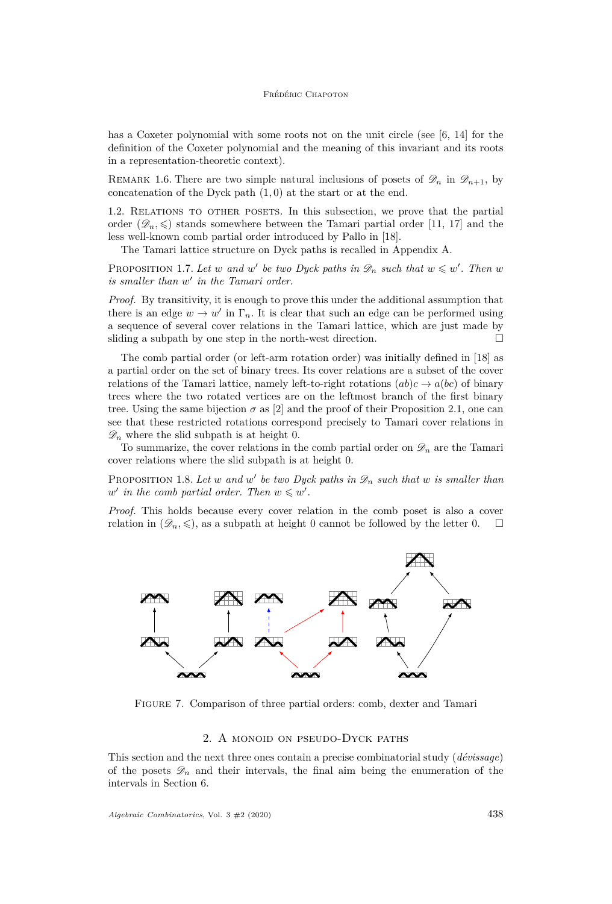#### Frédéric Chapoton

has a Coxeter polynomial with some roots not on the unit circle (see [\[6,](#page-30-8) [14\]](#page-30-9) for the definition of the Coxeter polynomial and the meaning of this invariant and its roots in a representation-theoretic context).

REMARK 1.6. There are two simple natural inclusions of posets of  $\mathscr{D}_n$  in  $\mathscr{D}_{n+1}$ , by concatenation of the Dyck path (1*,* 0) at the start or at the end.

1.2. RELATIONS TO OTHER POSETS. In this subsection, we prove that the partial order  $(\mathscr{D}_n, \leqslant)$  stands somewhere between the Tamari partial order [\[11,](#page-30-10) [17\]](#page-31-3) and the less well-known comb partial order introduced by Pallo in [\[18\]](#page-31-4).

The Tamari lattice structure on Dyck paths is recalled in Appendix [A.](#page-29-0)

PROPOSITION 1.7. Let *w* and *w*<sup>'</sup> be two Dyck paths in  $\mathscr{D}_n$  such that  $w \leq w'$ . Then *w* is smaller than  $w'$  in the Tamari order.

*Proof.* By transitivity, it is enough to prove this under the additional assumption that there is an edge  $w \to w'$  in  $\Gamma_n$ . It is clear that such an edge can be performed using a sequence of several cover relations in the Tamari lattice, which are just made by sliding a subpath by one step in the north-west direction.  $\Box$ 

The comb partial order (or left-arm rotation order) was initially defined in [\[18\]](#page-31-4) as a partial order on the set of binary trees. Its cover relations are a subset of the cover relations of the Tamari lattice, namely left-to-right rotations  $(ab)c \rightarrow a(bc)$  of binary trees where the two rotated vertices are on the leftmost branch of the first binary tree. Using the same bijection  $\sigma$  as [\[2\]](#page-30-11) and the proof of their Proposition 2.1, one can see that these restricted rotations correspond precisely to Tamari cover relations in  $\mathscr{D}_n$  where the slid subpath is at height 0.

To summarize, the cover relations in the comb partial order on  $\mathscr{D}_n$  are the Tamari cover relations where the slid subpath is at height 0.

PROPOSITION 1.8. Let *w* and *w'* be two Dyck paths in  $\mathscr{D}_n$  such that *w* is smaller than *w* in the comb partial order. Then  $w \leq w'$ .

*Proof.* This holds because every cover relation in the comb poset is also a cover relation in  $(\mathscr{D}_n, \leqslant)$ , as a subpath at height 0 cannot be followed by the letter 0.



Figure 7. Comparison of three partial orders: comb, dexter and Tamari

# 2. A monoid on pseudo-Dyck paths

<span id="page-6-0"></span>This section and the next three ones contain a precise combinatorial study (*dévissage*) of the posets  $\mathscr{D}_n$  and their intervals, the final aim being the enumeration of the intervals in Section [6.](#page-15-0)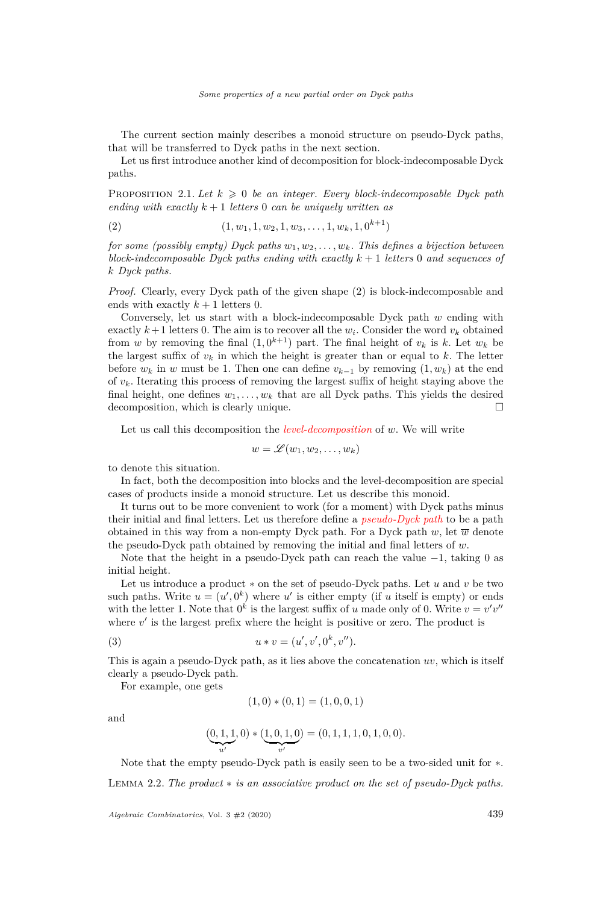The current section mainly describes a monoid structure on pseudo-Dyck paths, that will be transferred to Dyck paths in the next section.

Let us first introduce another kind of decomposition for block-indecomposable Dyck paths.

<span id="page-7-1"></span>PROPOSITION 2.1. Let  $k \geq 0$  be an integer. Every block-indecomposable Dyck path *ending with exactly*  $k + 1$  *letters* 0 *can be uniquely written as* 

<span id="page-7-0"></span>(2) 
$$
(1, w_1, 1, w_2, 1, w_3, \ldots, 1, w_k, 1, 0^{k+1})
$$

*for some (possibly empty) Dyck paths w*1*, w*2*, . . . , wk. This defines a bijection between block-indecomposable Dyck paths ending with exactly k* + 1 *letters* 0 *and sequences of k Dyck paths.*

*Proof.* Clearly, every Dyck path of the given shape [\(2\)](#page-7-0) is block-indecomposable and ends with exactly  $k + 1$  letters 0.

Conversely, let us start with a block-indecomposable Dyck path *w* ending with exactly  $k+1$  letters 0. The aim is to recover all the  $w_i$ . Consider the word  $v_k$  obtained from *w* by removing the final  $(1, 0^{k+1})$  part. The final height of  $v_k$  is  $k$ . Let  $w_k$  be the largest suffix of  $v_k$  in which the height is greater than or equal to  $k$ . The letter before  $w_k$  in *w* must be 1. Then one can define  $v_{k-1}$  by removing  $(1, w_k)$  at the end of *vk*. Iterating this process of removing the largest suffix of height staying above the final height, one defines  $w_1, \ldots, w_k$  that are all Dyck paths. This yields the desired decomposition, which is clearly unique.

Let us call this decomposition the *level-decomposition* of *w*. We will write

$$
w=\mathscr{L}(w_1,w_2,\ldots,w_k)
$$

to denote this situation.

In fact, both the decomposition into blocks and the level-decomposition are special cases of products inside a monoid structure. Let us describe this monoid.

It turns out to be more convenient to work (for a moment) with Dyck paths minus their initial and final letters. Let us therefore define a *pseudo-Dyck path* to be a path obtained in this way from a non-empty Dyck path. For a Dyck path  $w$ , let  $\overline{w}$  denote the pseudo-Dyck path obtained by removing the initial and final letters of *w*.

Note that the height in a pseudo-Dyck path can reach the value −1, taking 0 as initial height.

Let us introduce a product ∗ on the set of pseudo-Dyck paths. Let *u* and *v* be two such paths. Write  $u = (u', 0^k)$  where  $u'$  is either empty (if *u* itself is empty) or ends with the letter 1. Note that  $0^k$  is the largest suffix of *u* made only of 0. Write  $v = v'v''$ where  $v'$  is the largest prefix where the height is positive or zero. The product is

(3) 
$$
u * v = (u', v', 0^k, v'').
$$

This is again a pseudo-Dyck path, as it lies above the concatenation *uv*, which is itself clearly a pseudo-Dyck path.

For example, one gets

$$
(1,0)*(0,1)=(1,0,0,1)
$$

and

$$
(\underbrace{0,1,1}_{u'},0)*(\underbrace{1,0,1,0}_{v'})=(0,1,1,1,0,1,0,0).
$$

Note that the empty pseudo-Dyck path is easily seen to be a two-sided unit for ∗. Lemma 2.2. *The product* ∗ *is an associative product on the set of pseudo-Dyck paths.*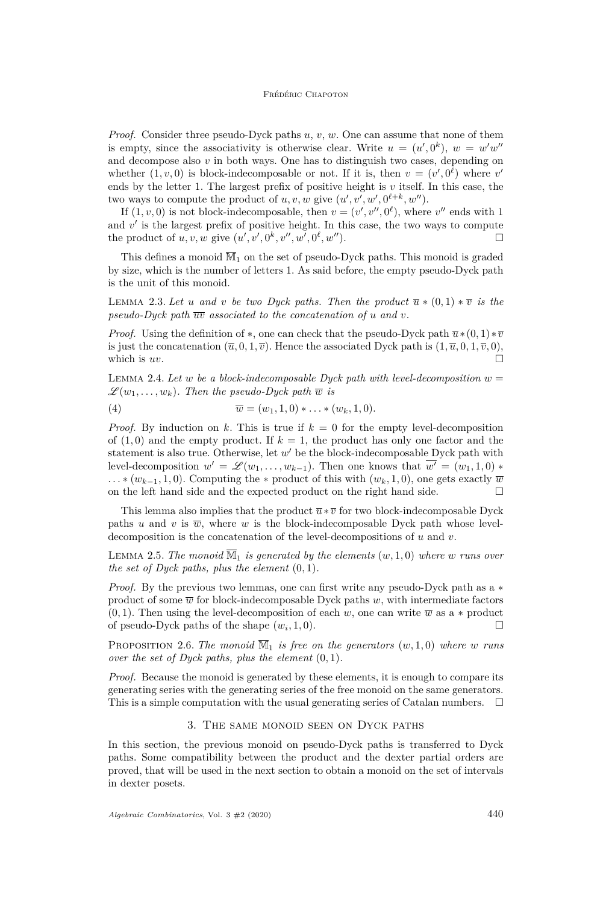*Proof.* Consider three pseudo-Dyck paths *u*, *v*, *w*. One can assume that none of them is empty, since the associativity is otherwise clear. Write  $u = (u', 0^k)$ ,  $w = w'w''$ and decompose also *v* in both ways. One has to distinguish two cases, depending on whether  $(1, v, 0)$  is block-indecomposable or not. If it is, then  $v = (v', 0^{\ell})$  where  $v'$ ends by the letter 1. The largest prefix of positive height is  $v$  itself. In this case, the two ways to compute the product of  $u, v, w$  give  $(u', v', w', 0^{\ell+k}, w'')$ .

If  $(1, v, 0)$  is not block-indecomposable, then  $v = (v', v'', 0^{\ell})$ , where  $v''$  ends with 1 and  $v'$  is the largest prefix of positive height. In this case, the two ways to compute the product of *u*, *v*, *w* give  $(u', v', 0^k, v'', w', 0^{\ell}, w'')$ .

This defines a monoid  $\overline{\mathbb{M}}_1$  on the set of pseudo-Dyck paths. This monoid is graded by size, which is the number of letters 1. As said before, the empty pseudo-Dyck path is the unit of this monoid.

LEMMA 2.3. Let *u* and *v* be two Dyck paths. Then the product  $\overline{u} * (0,1) * \overline{v}$  is the pseudo-Dyck path  $\overline{uv}$  associated to the concatenation of *u* and *v*.

*Proof.* Using the definition of \*, one can check that the pseudo-Dyck path  $\overline{u}$ \*(0*,* 1)\* $\overline{v}$ is just the concatenation  $(\overline{u}, 0, 1, \overline{v})$ . Hence the associated Dyck path is  $(1, \overline{u}, 0, 1, \overline{v}, 0)$ , which is  $uv$ .

LEMMA 2.4. Let *w* be a block-indecomposable Dyck path with level-decomposition  $w =$  $\mathscr{L}(w_1, \ldots, w_k)$ . Then the pseudo-Dyck path  $\overline{w}$  is

$$
\overline{w} = (w_1, 1, 0) * \dots * (w_k, 1, 0).
$$

*Proof.* By induction on k. This is true if  $k = 0$  for the empty level-decomposition of  $(1,0)$  and the empty product. If  $k = 1$ , the product has only one factor and the statement is also true. Otherwise, let  $w'$  be the block-indecomposable Dyck path with level-decomposition  $w' = \mathscr{L}(w_1, \ldots, w_{k-1})$ . Then one knows that  $\overline{w'} = (w_1, 1, 0) *$  $\dots$  ∗ ( $w_{k-1}$ , 1*,* 0). Computing the ∗ product of this with  $(w_k, 1, 0)$ , one gets exactly  $\overline{w}$ on the left hand side and the expected product on the right hand side.  $\Box$ 

This lemma also implies that the product  $\overline{u} * \overline{v}$  for two block-indecomposable Dyck paths *u* and *v* is  $\overline{w}$ , where *w* is the block-indecomposable Dyck path whose leveldecomposition is the concatenation of the level-decompositions of *u* and *v*.

LEMMA 2.5. The monoid  $\overline{M}_1$  *is generated by the elements*  $(w, 1, 0)$  *where w runs* over *the set of Dyck paths, plus the element* (0*,* 1)*.*

*Proof.* By the previous two lemmas, one can first write any pseudo-Dyck path as a  $*$ product of some  $\overline{w}$  for block-indecomposable Dyck paths  $w$ , with intermediate factors  $(0,1)$ . Then using the level-decomposition of each *w*, one can write  $\overline{w}$  as a ∗ product of pseudo-Dyck paths of the shape  $(w_i, 1, 0)$ .

PROPOSITION 2.6. The monoid  $\overline{M}_1$  is free on the generators  $(w, 1, 0)$  where *w* runs *over the set of Dyck paths, plus the element* (0*,* 1)*.*

*Proof.* Because the monoid is generated by these elements, it is enough to compare its generating series with the generating series of the free monoid on the same generators. This is a simple computation with the usual generating series of Catalan numbers.  $\Box$ 

# 3. The same monoid seen on Dyck paths

<span id="page-8-0"></span>In this section, the previous monoid on pseudo-Dyck paths is transferred to Dyck paths. Some compatibility between the product and the dexter partial orders are proved, that will be used in the next section to obtain a monoid on the set of intervals in dexter posets.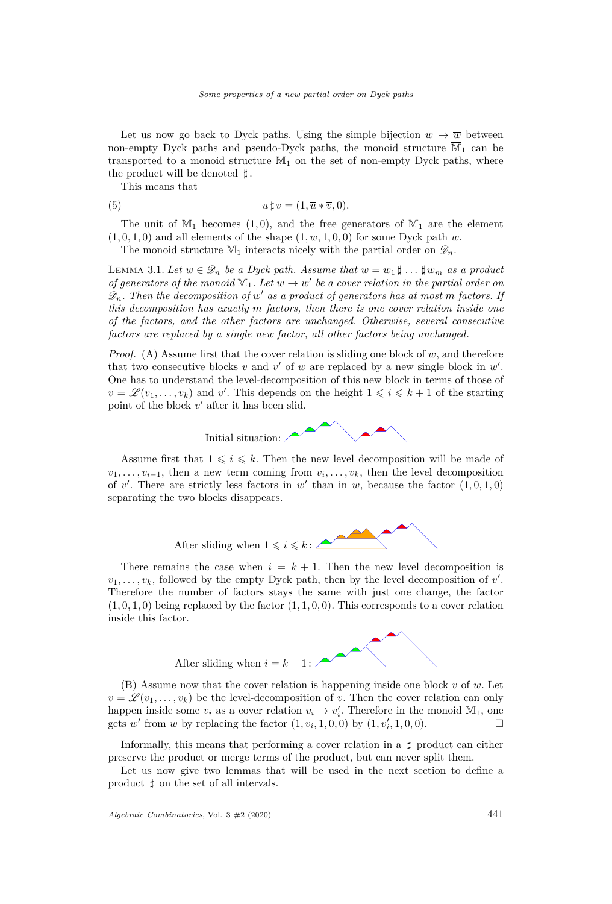Let us now go back to Dyck paths. Using the simple bijection  $w \to \overline{w}$  between non-empty Dyck paths and pseudo-Dyck paths, the monoid structure  $\overline{M}_1$  can be transported to a monoid structure  $M_1$  on the set of non-empty Dyck paths, where the product will be denoted *]*.

This means that

(5) 
$$
u \,\sharp\, v = (1, \overline{u} * \overline{v}, 0).
$$

The unit of  $M_1$  becomes  $(1,0)$ , and the free generators of  $M_1$  are the element  $(1,0,1,0)$  and all elements of the shape  $(1,w,1,0,0)$  for some Dyck path *w*.

The monoid structure  $\mathbb{M}_1$  interacts nicely with the partial order on  $\mathscr{D}_n$ .

<span id="page-9-1"></span>LEMMA 3.1. Let  $w \in \mathscr{D}_n$  be a Dyck path. Assume that  $w = w_1 \sharp ... \sharp w_m$  as a product *of generators of the monoid*  $\mathbb{M}_1$ *. Let*  $w \to w'$  *be a cover relation in the partial order on*  $\mathscr{D}_n$ . Then the decomposition of  $w'$  as a product of generators has at most m factors. If *this decomposition has exactly m factors, then there is one cover relation inside one of the factors, and the other factors are unchanged. Otherwise, several consecutive factors are replaced by a single new factor, all other factors being unchanged.*

*Proof.* (A) Assume first that the cover relation is sliding one block of *w*, and therefore that two consecutive blocks  $v$  and  $v'$  of  $w$  are replaced by a new single block in  $w'$ . One has to understand the level-decomposition of this new block in terms of those of  $v = \mathscr{L}(v_1, \ldots, v_k)$  and *v*'. This depends on the height  $1 \leqslant i \leqslant k + 1$  of the starting point of the block  $v'$  after it has been slid.



Assume first that  $1 \leqslant i \leqslant k$ . Then the new level decomposition will be made of  $v_1, \ldots, v_{i-1}$ , then a new term coming from  $v_i, \ldots, v_k$ , then the level decomposition of v'. There are strictly less factors in w' than in w, because the factor  $(1,0,1,0)$ separating the two blocks disappears.



There remains the case when  $i = k + 1$ . Then the new level decomposition is  $v_1, \ldots, v_k$ , followed by the empty Dyck path, then by the level decomposition of  $v'$ . Therefore the number of factors stays the same with just one change, the factor  $(1,0,1,0)$  being replaced by the factor  $(1,1,0,0)$ . This corresponds to a cover relation inside this factor.



(B) Assume now that the cover relation is happening inside one block *v* of *w*. Let  $v = \mathscr{L}(v_1, \ldots, v_k)$  be the level-decomposition of *v*. Then the cover relation can only happen inside some  $v_i$  as a cover relation  $v_i \to v'_i$ . Therefore in the monoid  $\mathbb{M}_1$ , one gets *w'* from *w* by replacing the factor  $(1, v_i, 1, 0, 0)$  by  $(1, v'_i, 1, 0, 0)$ .

Informally, this means that performing a cover relation in a *]* product can either preserve the product or merge terms of the product, but can never split them.

<span id="page-9-0"></span>Let us now give two lemmas that will be used in the next section to define a product  $\sharp$  on the set of all intervals.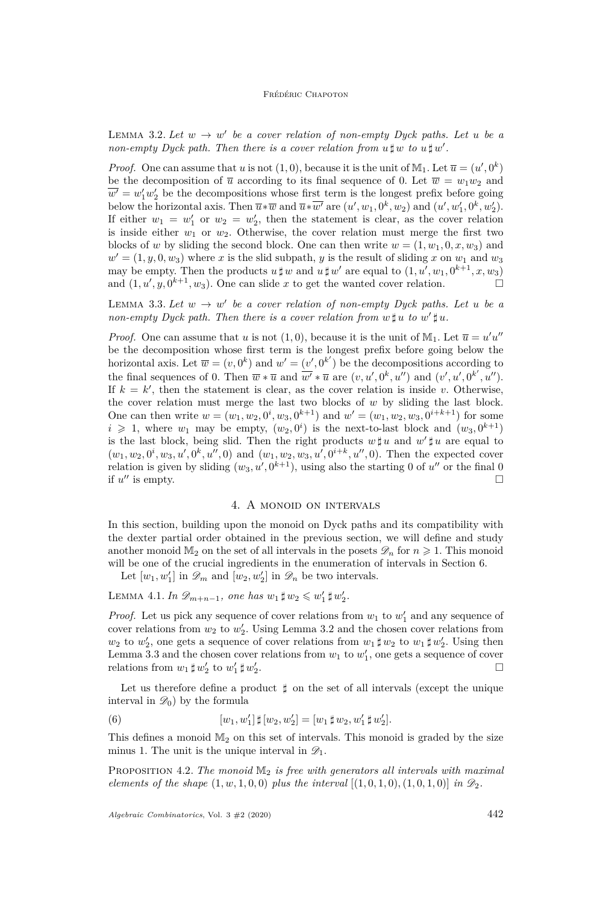LEMMA 3.2. Let  $w \to w'$  be a cover relation of non-empty Dyck paths. Let u be a *non-empty Dyck path. Then there is a cover relation from*  $u \sharp w$  *to*  $u \sharp w'$ .

*Proof.* One can assume that *u* is not  $(1,0)$ , because it is the unit of  $M_1$ . Let  $\overline{u} = (u',0^k)$ be the decomposition of  $\overline{u}$  according to its final sequence of 0. Let  $\overline{w} = w_1w_2$  and  $\overline{w'} = w'_1 w'_2$  be the decompositions whose first term is the longest prefix before going below the horizontal axis. Then  $\overline{u} * \overline{w}$  and  $\overline{u} * \overline{w}'$  are  $(u', w_1, 0^k, w_2)$  and  $(u', w'_1, 0^k, w'_2)$ . If either  $w_1 = w'_1$  or  $w_2 = w'_2$ , then the statement is clear, as the cover relation is inside either  $w_1$  or  $w_2$ . Otherwise, the cover relation must merge the first two blocks of *w* by sliding the second block. One can then write  $w = (1, w_1, 0, x, w_3)$  and  $w' = (1, y, 0, w_3)$  where *x* is the slid subpath, *y* is the result of sliding *x* on  $w_1$  and  $w_3$ may be empty. Then the products  $u \sharp w$  and  $u \sharp w'$  are equal to  $(1, u', w_1, 0^{k+1}, x, w_3)$ and  $(1, u', y, 0^{k+1}, w_3)$ . One can slide *x* to get the wanted cover relation.

<span id="page-10-1"></span>LEMMA 3.3. Let  $w \to w'$  be a cover relation of non-empty Dyck paths. Let u be a *non-empty Dyck path. Then there is a cover relation from*  $w \sharp u$  *to*  $w' \sharp u$ *.* 

*Proof.* One can assume that *u* is not  $(1,0)$ , because it is the unit of M<sub>1</sub>. Let  $\overline{u} = u'u''$ be the decomposition whose first term is the longest prefix before going below the horizontal axis. Let  $\overline{w} = (v, 0^k)$  and  $w' = (v', 0^{k'})$  be the decompositions according to the final sequences of 0. Then  $\overline{w} * \overline{u}$  and  $\overline{w'} * \overline{u}$  are  $(v, u', 0^k, u'')$  and  $(v', u', 0^{k'}, u'')$ . If  $k = k'$ , then the statement is clear, as the cover relation is inside *v*. Otherwise, the cover relation must merge the last two blocks of *w* by sliding the last block. One can then write  $w = (w_1, w_2, 0^i, w_3, 0^{k+1})$  and  $w' = (w_1, w_2, w_3, 0^{i+k+1})$  for some  $i \geq 1$ , where  $w_1$  may be empty,  $(w_2, 0^i)$  is the next-to-last block and  $(w_3, 0^{k+1})$ is the last block, being slid. Then the right products  $w \sharp u$  and  $w' \sharp u$  are equal to  $(w_1, w_2, 0^i, w_3, u', 0^k, u'', 0)$  and  $(w_1, w_2, w_3, u', 0^{i+k}, u'', 0)$ . Then the expected cover relation is given by sliding  $(w_3, u', 0^{k+1})$ , using also the starting 0 of  $u''$  or the final 0 if  $u''$  is empty.

### 4. A monoid on intervals

<span id="page-10-0"></span>In this section, building upon the monoid on Dyck paths and its compatibility with the dexter partial order obtained in the previous section, we will define and study another monoid  $\mathbb{M}_2$  on the set of all intervals in the posets  $\mathscr{D}_n$  for  $n \geq 1$ . This monoid will be one of the crucial ingredients in the enumeration of intervals in Section [6.](#page-15-0)

Let  $[w_1, w'_1]$  in  $\mathscr{D}_m$  and  $[w_2, w'_2]$  in  $\mathscr{D}_n$  be two intervals.

<span id="page-10-2"></span>LEMMA 4.1. In  $\mathscr{D}_{m+n-1}$ , one has  $w_1 \sharp w_2 \leqslant w_1' \sharp w_2'$ .

*Proof.* Let us pick any sequence of cover relations from  $w_1$  to  $w'_1$  and any sequence of cover relations from  $w_2$  to  $w_2'$ . Using Lemma [3.2](#page-9-0) and the chosen cover relations from  $w_2$  to  $w_2'$ , one gets a sequence of cover relations from  $w_1 \sharp w_2$  to  $w_1 \sharp w_2'$ . Using then Lemma [3.3](#page-10-1) and the chosen cover relations from  $w_1$  to  $w'_1$ , one gets a sequence of cover relations from  $w_1 \sharp w_2'$  to  $w_1' \sharp w_2'$ . В последните поставите на политички и поставите на политички и поставите на политички и политички и политичк<br>В политички и политички и политички и политички и политички и политички и политички и политички и политички и<br>

Let us therefore define a product  $\sharp$  on the set of all intervals (except the unique interval in  $\mathscr{D}_0$  by the formula

(6) 
$$
[w_1, w'_1] \sharp [w_2, w'_2] = [w_1 \sharp w_2, w'_1 \sharp w'_2].
$$

This defines a monoid  $\mathbb{M}_2$  on this set of intervals. This monoid is graded by the size minus 1. The unit is the unique interval in  $\mathscr{D}_1$ .

<span id="page-10-3"></span>PROPOSITION 4.2. The monoid  $\mathbb{M}_2$  *is free with generators all intervals with maximal elements of the shape*  $(1, w, 1, 0, 0)$  *plus the interval*  $[(1, 0, 1, 0), (1, 0, 1, 0)]$  *in*  $\mathcal{D}_2$ .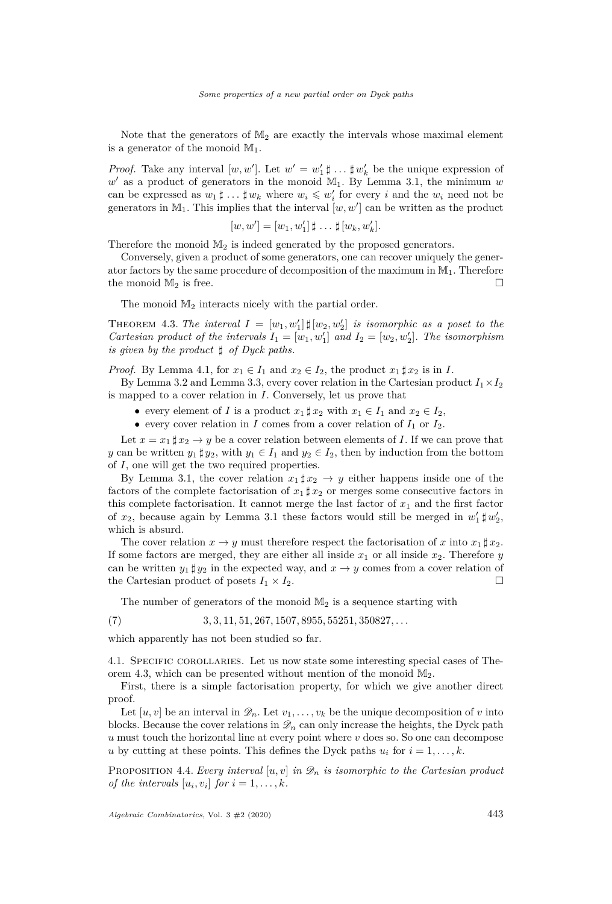Note that the generators of  $M_2$  are exactly the intervals whose maximal element is a generator of the monoid  $\mathbb{M}_1$ .

*Proof.* Take any interval  $[w, w']$ . Let  $w' = w'_1 \sharp ... \sharp w'_k$  be the unique expression of  $w'$  as a product of generators in the monoid  $M_1$ . By Lemma [3.1,](#page-9-1) the minimum  $w$ can be expressed as  $w_1 \sharp ... \sharp w_k$  where  $w_i \leqslant w'_i$  for every *i* and the  $w_i$  need not be generators in  $\mathbb{M}_1$ . This implies that the interval  $[w, w']$  can be written as the product

$$
[w, w'] = [w_1, w'_1] \sharp \dots \sharp [w_k, w'_k].
$$

Therefore the monoid  $\mathbb{M}_2$  is indeed generated by the proposed generators.

Conversely, given a product of some generators, one can recover uniquely the generator factors by the same procedure of decomposition of the maximum in  $M_1$ . Therefore the monoid  $\mathbb{M}_2$  is free.

The monoid  $M_2$  interacts nicely with the partial order.

<span id="page-11-0"></span>THEOREM 4.3. The interval  $I = [w_1, w_1'] \, \sharp [w_2, w_2']$  is isomorphic as a poset to the *Cartesian product of the intervals*  $I_1 = [w_1, w'_1]$  and  $I_2 = [w_2, w'_2]$ . The isomorphism *is given by the product ] of Dyck paths.*

*Proof.* By Lemma [4.1,](#page-10-2) for  $x_1 \in I_1$  and  $x_2 \in I_2$ , the product  $x_1 \sharp x_2$  is in *I*.

By Lemma [3.2](#page-9-0) and Lemma [3.3,](#page-10-1) every cover relation in the Cartesian product  $I_1 \times I_2$ is mapped to a cover relation in *I*. Conversely, let us prove that

- every element of *I* is a product  $x_1 \sharp x_2$  with  $x_1 \in I_1$  and  $x_2 \in I_2$ ,
- every cover relation in *I* comes from a cover relation of  $I_1$  or  $I_2$ .

Let  $x = x_1 \sharp x_2 \to y$  be a cover relation between elements of *I*. If we can prove that *y* can be written  $y_1 \sharp y_2$ , with  $y_1 \in I_1$  and  $y_2 \in I_2$ , then by induction from the bottom of *I*, one will get the two required properties.

By Lemma [3.1,](#page-9-1) the cover relation  $x_1 \sharp x_2 \to y$  either happens inside one of the factors of the complete factorisation of  $x_1 \sharp x_2$  or merges some consecutive factors in this complete factorisation. It cannot merge the last factor of  $x_1$  and the first factor of  $x_2$ , because again by Lemma [3.1](#page-9-1) these factors would still be merged in  $w'_1 \sharp w'_2$ , which is absurd.

The cover relation  $x \to y$  must therefore respect the factorisation of *x* into  $x_1 \sharp x_2$ . If some factors are merged, they are either all inside  $x_1$  or all inside  $x_2$ . Therefore  $y$ can be written  $y_1 \sharp y_2$  in the expected way, and  $x \to y$  comes from a cover relation of the Cartesian product of posets  $I_1 \times I_2$ .

The number of generators of the monoid  $M_2$  is a sequence starting with

(7) 3*,* 3*,* 11*,* 51*,* 267*,* 1507*,* 8955*,* 55251*,* 350827*, . . .*

which apparently has not been studied so far.

<span id="page-11-2"></span>4.1. Specific corollaries. Let us now state some interesting special cases of The-orem [4.3,](#page-11-0) which can be presented without mention of the monoid  $\mathbb{M}_2$ .

First, there is a simple factorisation property, for which we give another direct proof.

Let  $[u, v]$  be an interval in  $\mathscr{D}_n$ . Let  $v_1, \ldots, v_k$  be the unique decomposition of *v* into blocks. Because the cover relations in  $\mathcal{D}_n$  can only increase the heights, the Dyck path  $u$  must touch the horizontal line at every point where  $v$  does so. So one can decompose *u* by cutting at these points. This defines the Dyck paths  $u_i$  for  $i = 1, \ldots, k$ .

<span id="page-11-1"></span>PROPOSITION 4.4. *Every interval*  $[u, v]$  *in*  $\mathscr{D}_n$  *is isomorphic to the Cartesian product of the intervals*  $[u_i, v_i]$  *for*  $i = 1, \ldots, k$ *.*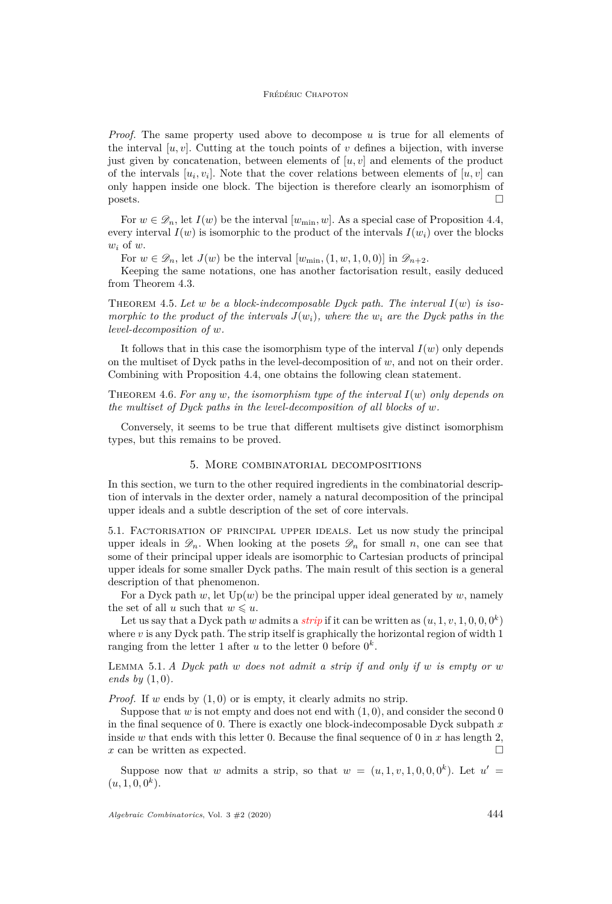*Proof.* The same property used above to decompose *u* is true for all elements of the interval  $[u, v]$ . Cutting at the touch points of *v* defines a bijection, with inverse just given by concatenation, between elements of  $[u, v]$  and elements of the product of the intervals  $[u_i, v_i]$ . Note that the cover relations between elements of  $[u, v]$  can only happen inside one block. The bijection is therefore clearly an isomorphism of  $\Box$  posets.

For  $w \in \mathscr{D}_n$ , let  $I(w)$  be the interval  $[w_{\min}, w]$ . As a special case of Proposition [4.4,](#page-11-1) every interval  $I(w)$  is isomorphic to the product of the intervals  $I(w_i)$  over the blocks *w<sup>i</sup>* of *w*.

For  $w \in \mathscr{D}_n$ , let  $J(w)$  be the interval  $[w_{\min}, (1, w, 1, 0, 0)]$  in  $\mathscr{D}_{n+2}$ .

Keeping the same notations, one has another factorisation result, easily deduced from Theorem [4.3.](#page-11-0)

<span id="page-12-4"></span>Theorem 4.5. *Let w be a block-indecomposable Dyck path. The interval I*(*w*) *is isomorphic to the product of the intervals*  $J(w_i)$ *, where the*  $w_i$  *are the Dyck paths in the level-decomposition of w.*

It follows that in this case the isomorphism type of the interval *I*(*w*) only depends on the multiset of Dyck paths in the level-decomposition of *w*, and not on their order. Combining with Proposition [4.4,](#page-11-1) one obtains the following clean statement.

<span id="page-12-3"></span>THEOREM 4.6. For any  $w$ , the isomorphism type of the interval  $I(w)$  only depends on *the multiset of Dyck paths in the level-decomposition of all blocks of w.*

Conversely, it seems to be true that different multisets give distinct isomorphism types, but this remains to be proved.

# 5. More combinatorial decompositions

<span id="page-12-0"></span>In this section, we turn to the other required ingredients in the combinatorial description of intervals in the dexter order, namely a natural decomposition of the principal upper ideals and a subtle description of the set of core intervals.

<span id="page-12-1"></span>5.1. Factorisation of principal upper ideals. Let us now study the principal upper ideals in  $\mathscr{D}_n$ . When looking at the posets  $\mathscr{D}_n$  for small *n*, one can see that some of their principal upper ideals are isomorphic to Cartesian products of principal upper ideals for some smaller Dyck paths. The main result of this section is a general description of that phenomenon.

For a Dyck path  $w$ , let  $Up(w)$  be the principal upper ideal generated by  $w$ , namely the set of all *u* such that  $w \leq u$ .

Let us say that a Dyck path *w* admits a *strip* if it can be written as  $(u, 1, v, 1, 0, 0, 0^k)$ where  $v$  is any Dyck path. The strip itself is graphically the horizontal region of width 1 ranging from the letter 1 after  $u$  to the letter 0 before  $0^k$ .

Lemma 5.1. *A Dyck path w does not admit a strip if and only if w is empty or w ends by* (1*,* 0)*.*

*Proof.* If *w* ends by  $(1,0)$  or is empty, it clearly admits no strip.

Suppose that *w* is not empty and does not end with  $(1, 0)$ , and consider the second 0 in the final sequence of 0. There is exactly one block-indecomposable Dyck subpath *x* inside *w* that ends with this letter 0. Because the final sequence of 0 in  $x$  has length 2, *x* can be written as expected.

<span id="page-12-2"></span>Suppose now that *w* admits a strip, so that  $w = (u, 1, v, 1, 0, 0, 0^k)$ . Let  $u' =$  $(u, 1, 0, 0^k).$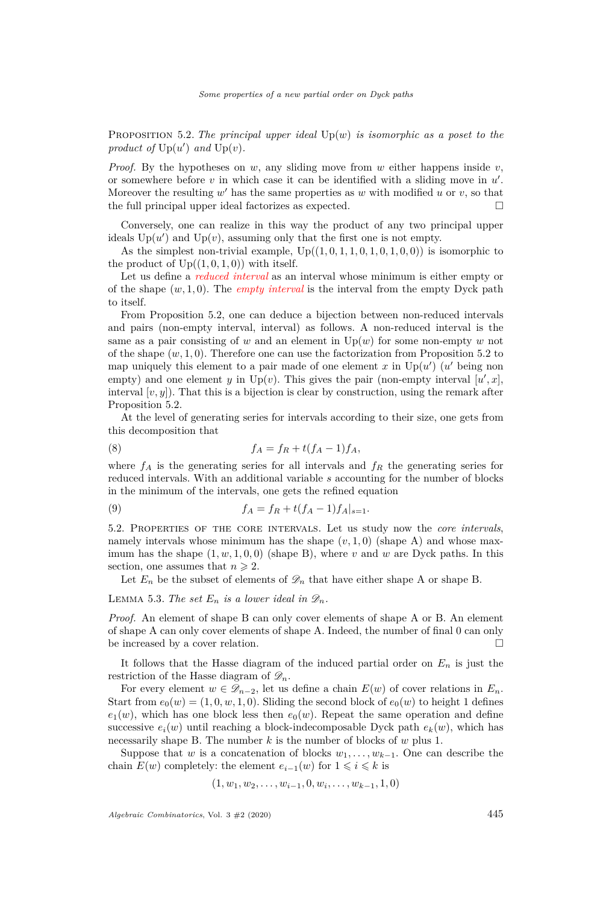Proposition 5.2. *The principal upper ideal* Up(*w*) *is isomorphic as a poset to the* product of  $Up(u')$  and  $Up(v)$ *.* 

*Proof.* By the hypotheses on *w*, any sliding move from *w* either happens inside *v*, or somewhere before  $v$  in which case it can be identified with a sliding move in  $u'$ . Moreover the resulting  $w'$  has the same properties as  $w$  with modified  $u$  or  $v$ , so that the full principal upper ideal factorizes as expected.

Conversely, one can realize in this way the product of any two principal upper ideals  $Up(u')$  and  $Up(v)$ , assuming only that the first one is not empty.

As the simplest non-trivial example,  $Up((1,0,1,1,0,1,0,1,0,0))$  is isomorphic to the product of  $Up((1,0,1,0))$  with itself.

Let us define a *reduced interval* as an interval whose minimum is either empty or of the shape (*w,* 1*,* 0). The *empty interval* is the interval from the empty Dyck path to itself.

From Proposition [5.2,](#page-12-2) one can deduce a bijection between non-reduced intervals and pairs (non-empty interval, interval) as follows. A non-reduced interval is the same as a pair consisting of *w* and an element in Up(*w*) for some non-empty *w* not of the shape  $(w, 1, 0)$ . Therefore one can use the factorization from Proposition [5.2](#page-12-2) to map uniquely this element to a pair made of one element  $x$  in  $Up(u')$  ( $u'$  being non empty) and one element *y* in Up(*v*). This gives the pair (non-empty interval  $[u',x]$ , interval  $[v, y]$ ). That this is a bijection is clear by construction, using the remark after Proposition [5.2.](#page-12-2)

At the level of generating series for intervals according to their size, one gets from this decomposition that

$$
(8) \t\t f_A = f_R + t(f_A - 1)f_A,
$$

where  $f_A$  is the generating series for all intervals and  $f_R$  the generating series for reduced intervals. With an additional variable *s* accounting for the number of blocks in the minimum of the intervals, one gets the refined equation

<span id="page-13-1"></span>(9) 
$$
f_A = f_R + t(f_A - 1)f_A|_{s=1}.
$$

<span id="page-13-0"></span>5.2. Properties of the core intervals. Let us study now the *core intervals*, namely intervals whose minimum has the shape  $(v, 1, 0)$  (shape A) and whose maximum has the shape  $(1, w, 1, 0, 0)$  (shape B), where *v* and *w* are Dyck paths. In this section, one assumes that  $n \geq 2$ .

Let  $E_n$  be the subset of elements of  $\mathscr{D}_n$  that have either shape A or shape B.

# LEMMA 5.3. The set  $E_n$  is a lower ideal in  $\mathscr{D}_n$ .

*Proof.* An element of shape B can only cover elements of shape A or B. An element of shape A can only cover elements of shape A. Indeed, the number of final 0 can only be increased by a cover relation.

It follows that the Hasse diagram of the induced partial order on  $E_n$  is just the restriction of the Hasse diagram of  $\mathscr{D}_n$ .

For every element  $w \in \mathcal{D}_{n-2}$ , let us define a chain  $E(w)$  of cover relations in  $E_n$ . Start from  $e_0(w) = (1, 0, w, 1, 0)$ . Sliding the second block of  $e_0(w)$  to height 1 defines  $e_1(w)$ , which has one block less then  $e_0(w)$ . Repeat the same operation and define successive  $e_i(w)$  until reaching a block-indecomposable Dyck path  $e_k(w)$ , which has necessarily shape B. The number *k* is the number of blocks of *w* plus 1.

Suppose that *w* is a concatenation of blocks  $w_1, \ldots, w_{k-1}$ . One can describe the chain  $E(w)$  completely: the element  $e_{i-1}(w)$  for  $1 \leq i \leq k$  is

$$
(1, w_1, w_2, \ldots, w_{i-1}, 0, w_i, \ldots, w_{k-1}, 1, 0)
$$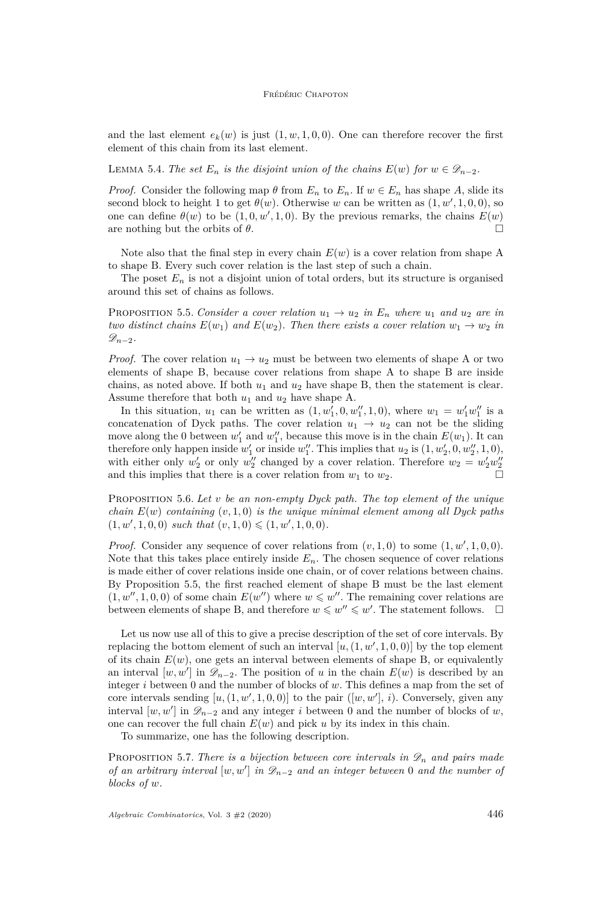and the last element  $e_k(w)$  is just  $(1, w, 1, 0, 0)$ . One can therefore recover the first element of this chain from its last element.

LEMMA 5.4. *The set*  $E_n$  *is the disjoint union of the chains*  $E(w)$  *for*  $w \in \mathscr{D}_{n-2}$ *.* 

*Proof.* Consider the following map  $\theta$  from  $E_n$  to  $E_n$ . If  $w \in E_n$  has shape A, slide its second block to height 1 to get  $\theta(w)$ . Otherwise *w* can be written as  $(1, w', 1, 0, 0)$ , so one can define  $\theta(w)$  to be  $(1, 0, w', 1, 0)$ . By the previous remarks, the chains  $E(w)$ are nothing but the orbits of  $\theta$ .

Note also that the final step in every chain  $E(w)$  is a cover relation from shape A to shape B. Every such cover relation is the last step of such a chain.

The poset  $E_n$  is not a disjoint union of total orders, but its structure is organised around this set of chains as follows.

<span id="page-14-0"></span>**PROPOSITION** 5.5. Consider a cover relation  $u_1 \rightarrow u_2$  in  $E_n$  where  $u_1$  and  $u_2$  are in *two distinct chains*  $E(w_1)$  *and*  $E(w_2)$ *. Then there exists a cover relation*  $w_1 \rightarrow w_2$  *in*  $\mathscr{D}_{n-2}$ *.* 

*Proof.* The cover relation  $u_1 \rightarrow u_2$  must be between two elements of shape A or two elements of shape B, because cover relations from shape A to shape B are inside chains, as noted above. If both  $u_1$  and  $u_2$  have shape B, then the statement is clear. Assume therefore that both  $u_1$  and  $u_2$  have shape A.

In this situation,  $u_1$  can be written as  $(1, w'_1, 0, w''_1, 1, 0)$ , where  $w_1 = w'_1 w''_1$  is a concatenation of Dyck paths. The cover relation  $u_1 \rightarrow u_2$  can not be the sliding move along the 0 between  $w'_1$  and  $w''_1$ , because this move is in the chain  $E(w_1)$ . It can therefore only happen inside  $w_1'$  or inside  $w_1''$ . This implies that  $u_2$  is  $(1, w_2', 0, w_2'', 1, 0)$ , with either only  $w_2'$  or only  $w_2''$  changed by a cover relation. Therefore  $w_2 = w_2'w_2''$ and this implies that there is a cover relation from  $w_1$  to  $w_2$ .

Proposition 5.6. *Let v be an non-empty Dyck path. The top element of the unique chain E*(*w*) *containing* (*v,* 1*,* 0) *is the unique minimal element among all Dyck paths*  $(1, w', 1, 0, 0)$  *such that*  $(v, 1, 0) \leq (1, w', 1, 0, 0)$ *.* 

*Proof.* Consider any sequence of cover relations from  $(v, 1, 0)$  to some  $(1, w', 1, 0, 0)$ . Note that this takes place entirely inside  $E_n$ . The chosen sequence of cover relations is made either of cover relations inside one chain, or of cover relations between chains. By Proposition [5.5,](#page-14-0) the first reached element of shape B must be the last element  $(1, w'', 1, 0, 0)$  of some chain  $E(w'')$  where  $w \leqslant w''$ . The remaining cover relations are between elements of shape B, and therefore  $w \leq w'' \leq w'$ . The statement follows.  $\square$ 

Let us now use all of this to give a precise description of the set of core intervals. By replacing the bottom element of such an interval  $[u, (1, w', 1, 0, 0)]$  by the top element of its chain  $E(w)$ , one gets an interval between elements of shape B, or equivalently an interval  $[w, w']$  in  $\mathscr{D}_{n-2}$ . The position of *u* in the chain  $E(w)$  is described by an integer *i* between 0 and the number of blocks of *w*. This defines a map from the set of core intervals sending  $[u, (1, w', 1, 0, 0)]$  to the pair  $([w, w'], i)$ . Conversely, given any interval  $[w, w']$  in  $\mathscr{D}_{n-2}$  and any integer *i* between 0 and the number of blocks of *w*, one can recover the full chain  $E(w)$  and pick  $u$  by its index in this chain.

To summarize, one has the following description.

<span id="page-14-1"></span>PROPOSITION 5.7. *There is a bijection between core intervals in*  $\mathscr{D}_n$  *and pairs made of an arbitrary interval*  $[w, w']$  *in*  $\mathcal{D}_{n-2}$  *and an integer between* 0 *and the number of blocks of w.*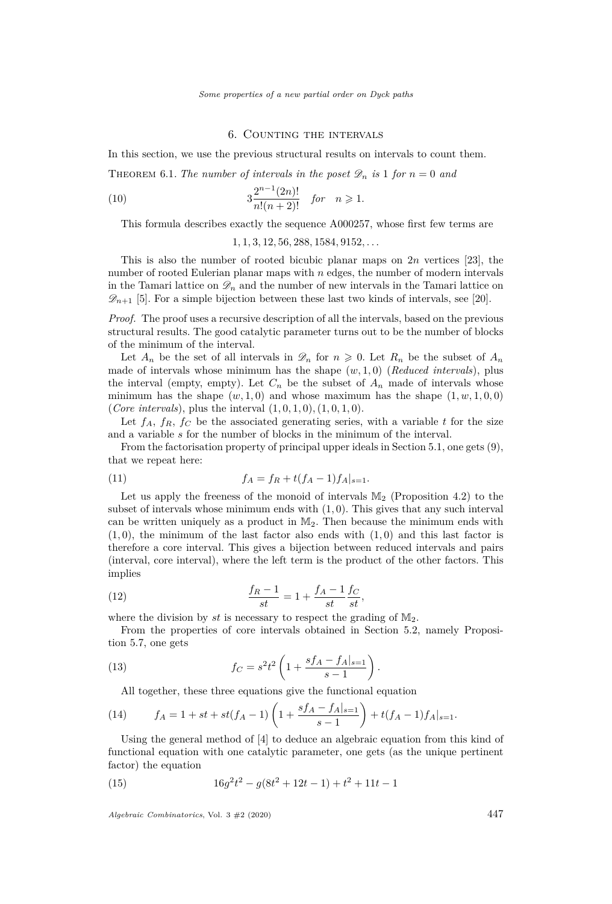# 6. Counting the intervals

<span id="page-15-1"></span><span id="page-15-0"></span>In this section, we use the previous structural results on intervals to count them.

THEOREM 6.1. *The number of intervals in the poset*  $\mathscr{D}_n$  *is* 1 *for*  $n = 0$  *and* 

(10) 
$$
3\frac{2^{n-1}(2n)!}{n!(n+2)!} \quad \text{for} \quad n \geq 1.
$$

This formula describes exactly the sequence [A000257,](https://oeis.org/A000257) whose first few terms are

1*,* 1*,* 3*,* 12*,* 56*,* 288*,* 1584*,* 9152*, . . .*

This is also the number of rooted bicubic planar maps on 2*n* vertices [\[23\]](#page-31-0), the number of rooted Eulerian planar maps with *n* edges, the number of modern intervals in the Tamari lattice on  $\mathscr{D}_n$  and the number of new intervals in the Tamari lattice on  $\mathscr{D}_{n+1}$  [\[5\]](#page-30-0). For a simple bijection between these last two kinds of intervals, see [\[20\]](#page-31-5).

*Proof.* The proof uses a recursive description of all the intervals, based on the previous structural results. The good catalytic parameter turns out to be the number of blocks of the minimum of the interval.

Let  $A_n$  be the set of all intervals in  $\mathscr{D}_n$  for  $n \geq 0$ . Let  $R_n$  be the subset of  $A_n$ made of intervals whose minimum has the shape  $(w, 1, 0)$  (*Reduced intervals*), plus the interval (empty, empty). Let  $C_n$  be the subset of  $A_n$  made of intervals whose minimum has the shape  $(w, 1, 0)$  and whose maximum has the shape  $(1, w, 1, 0, 0)$ (*Core intervals*), plus the interval  $(1, 0, 1, 0), (1, 0, 1, 0)$ .

Let  $f_A$ ,  $f_R$ ,  $f_C$  be the associated generating series, with a variable  $t$  for the size and a variable *s* for the number of blocks in the minimum of the interval.

From the factorisation property of principal upper ideals in Section [5.1,](#page-12-1) one gets [\(9\)](#page-13-1), that we repeat here:

(11) 
$$
f_A = f_R + t(f_A - 1)f_A|_{s=1}.
$$

Let us apply the freeness of the monoid of intervals  $\mathbb{M}_2$  (Proposition [4.2\)](#page-10-3) to the subset of intervals whose minimum ends with (1*,* 0). This gives that any such interval can be written uniquely as a product in  $M_2$ . Then because the minimum ends with  $(1,0)$ , the minimum of the last factor also ends with  $(1,0)$  and this last factor is therefore a core interval. This gives a bijection between reduced intervals and pairs (interval, core interval), where the left term is the product of the other factors. This implies

(12) 
$$
\frac{f_R - 1}{st} = 1 + \frac{f_A - 1}{st} \frac{f_C}{st},
$$

where the division by  $st$  is necessary to respect the grading of  $\mathbb{M}_2$ .

From the properties of core intervals obtained in Section [5.2,](#page-13-0) namely Proposition [5.7,](#page-14-1) one gets

(13) 
$$
f_C = s^2 t^2 \left( 1 + \frac{sf_A - f_A|_{s=1}}{s-1} \right).
$$

All together, these three equations give the functional equation

(14) 
$$
f_A = 1 + st + st(f_A - 1)\left(1 + \frac{sf_A - f_A|_{s=1}}{s-1}\right) + t(f_A - 1)f_A|_{s=1}.
$$

Using the general method of [\[4\]](#page-30-12) to deduce an algebraic equation from this kind of functional equation with one catalytic parameter, one gets (as the unique pertinent factor) the equation

(15) 
$$
16g^2t^2 - g(8t^2 + 12t - 1) + t^2 + 11t - 1
$$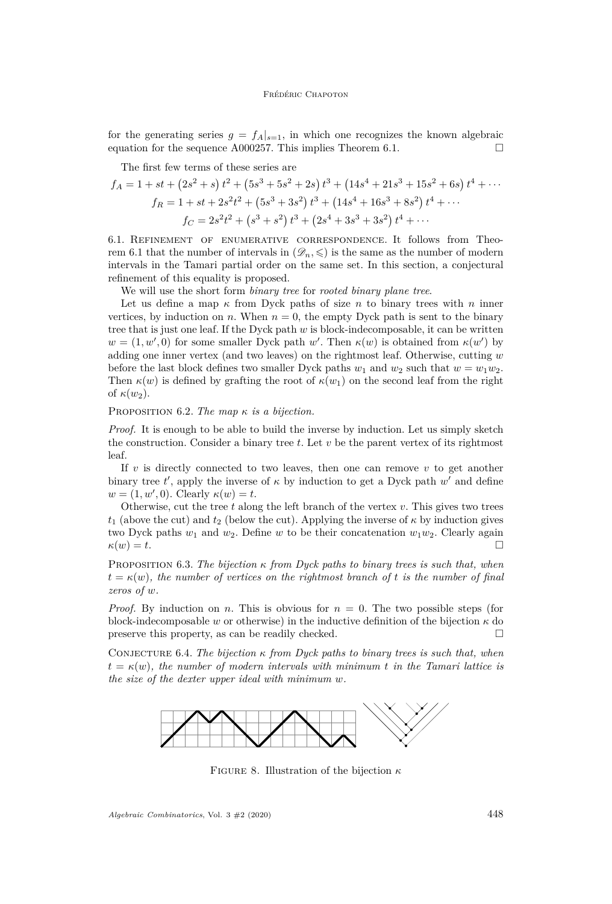for the generating series  $g = f_A|_{s=1}$ , in which one recognizes the known algebraic equation for the sequence [A000257.](https://oeis.org/A000257) This implies Theorem [6.1.](#page-15-1)  $\Box$ 

The first few terms of these series are

$$
f_A = 1 + st + (2s^2 + s) t^2 + (5s^3 + 5s^2 + 2s) t^3 + (14s^4 + 21s^3 + 15s^2 + 6s) t^4 + \cdots
$$
  
\n
$$
f_R = 1 + st + 2s^2t^2 + (5s^3 + 3s^2) t^3 + (14s^4 + 16s^3 + 8s^2) t^4 + \cdots
$$
  
\n
$$
f_C = 2s^2t^2 + (s^3 + s^2) t^3 + (2s^4 + 3s^3 + 3s^2) t^4 + \cdots
$$

6.1. Refinement of enumerative correspondence. It follows from Theo-rem [6.1](#page-15-1) that the number of intervals in  $(\mathscr{D}_n, \leqslant)$  is the same as the number of modern intervals in the Tamari partial order on the same set. In this section, a conjectural refinement of this equality is proposed.

We will use the short form *binary tree* for *rooted binary plane tree*.

Let us define a map *κ* from Dyck paths of size *n* to binary trees with *n* inner vertices, by induction on *n*. When  $n = 0$ , the empty Dyck path is sent to the binary tree that is just one leaf. If the Dyck path *w* is block-indecomposable, it can be written  $w = (1, w', 0)$  for some smaller Dyck path *w'*. Then  $\kappa(w)$  is obtained from  $\kappa(w')$  by adding one inner vertex (and two leaves) on the rightmost leaf. Otherwise, cutting *w* before the last block defines two smaller Dyck paths  $w_1$  and  $w_2$  such that  $w = w_1 w_2$ . Then  $\kappa(w)$  is defined by grafting the root of  $\kappa(w_1)$  on the second leaf from the right of  $\kappa(w_2)$ .

#### Proposition 6.2. *The map κ is a bijection.*

*Proof.* It is enough to be able to build the inverse by induction. Let us simply sketch the construction. Consider a binary tree *t*. Let *v* be the parent vertex of its rightmost leaf.

If  $v$  is directly connected to two leaves, then one can remove  $v$  to get another binary tree  $t'$ , apply the inverse of  $\kappa$  by induction to get a Dyck path  $w'$  and define  $w = (1, w', 0)$ . Clearly  $\kappa(w) = t$ .

Otherwise, cut the tree *t* along the left branch of the vertex *v*. This gives two trees  $t_1$  (above the cut) and  $t_2$  (below the cut). Applying the inverse of  $\kappa$  by induction gives two Dyck paths  $w_1$  and  $w_2$ . Define  $w$  to be their concatenation  $w_1w_2$ . Clearly again  $\kappa(w) = t.$ 

Proposition 6.3. *The bijection κ from Dyck paths to binary trees is such that, when*  $t = \kappa(w)$ , the number of vertices on the rightmost branch of t is the number of final *zeros of w.*

*Proof.* By induction on *n*. This is obvious for  $n = 0$ . The two possible steps (for block-indecomposable *w* or otherwise) in the inductive definition of the bijection  $\kappa$  do preserve this property, as can be readily checked.

CONJECTURE 6.4. *The bijection*  $\kappa$  *from Dyck paths to binary trees is such that, when*  $t = \kappa(w)$ , the number of modern intervals with minimum *t* in the Tamari lattice is *the size of the dexter upper ideal with minimum w.*



Figure 8. Illustration of the bijection *κ*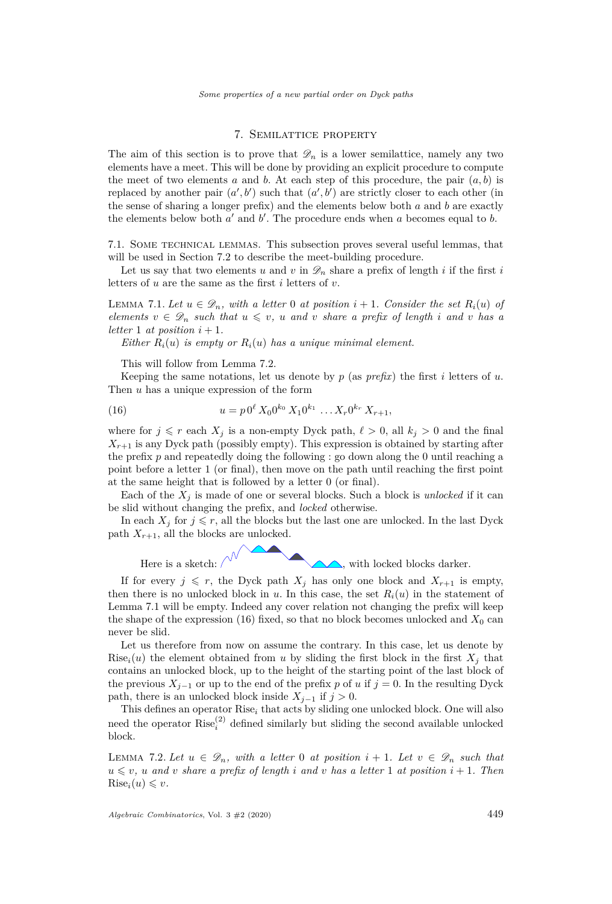# 7. Semilattice property

<span id="page-17-0"></span>The aim of this section is to prove that  $\mathscr{D}_n$  is a lower semilattice, namely any two elements have a meet. This will be done by providing an explicit procedure to compute the meet of two elements  $a$  and  $b$ . At each step of this procedure, the pair  $(a, b)$  is replaced by another pair  $(a', b')$  such that  $(a', b')$  are strictly closer to each other (in the sense of sharing a longer prefix) and the elements below both *a* and *b* are exactly the elements below both  $a'$  and  $b'$ . The procedure ends when  $a$  becomes equal to  $b$ .

7.1. Some technical lemmas. This subsection proves several useful lemmas, that will be used in Section [7.2](#page-19-0) to describe the meet-building procedure.

Let us say that two elements *u* and *v* in  $\mathscr{D}_n$  share a prefix of length *i* if the first *i* letters of *u* are the same as the first *i* letters of *v*.

<span id="page-17-2"></span>LEMMA 7.1. Let  $u \in \mathcal{D}_n$ , with a letter 0 at position  $i + 1$ . Consider the set  $R_i(u)$  of *elements*  $v \in \mathcal{D}_n$  *such that*  $u \leq v$ *, u and v share a prefix of length i and v has a letter* 1 *at position*  $i + 1$ *.* 

*Either*  $R_i(u)$  *is empty or*  $R_i(u)$  *has a unique minimal element.* 

<span id="page-17-3"></span>This will follow from Lemma [7.2.](#page-17-1)

Keeping the same notations, let us denote by  $p$  (as *prefix*) the first *i* letters of *u*. Then *u* has a unique expression of the form

(16) 
$$
u = p \, 0^{\ell} \, X_0 0^{k_0} \, X_1 0^{k_1} \, \dots X_r 0^{k_r} \, X_{r+1},
$$

where for  $j \leq r$  each  $X_j$  is a non-empty Dyck path,  $\ell > 0$ , all  $k_j > 0$  and the final  $X_{r+1}$  is any Dyck path (possibly empty). This expression is obtained by starting after the prefix *p* and repeatedly doing the following : go down along the 0 until reaching a point before a letter 1 (or final), then move on the path until reaching the first point at the same height that is followed by a letter 0 (or final).

Each of the  $X_i$  is made of one or several blocks. Such a block is *unlocked* if it can be slid without changing the prefix, and *locked* otherwise.

In each  $X_j$  for  $j \leq r$ , all the blocks but the last one are unlocked. In the last Dyck path  $X_{r+1}$ , all the blocks are unlocked.

Here is a sketch:  $\bigwedge^{\vee}$  with locked blocks darker.

If for every  $j \leq r$ , the Dyck path  $X_j$  has only one block and  $X_{r+1}$  is empty, then there is no unlocked block in *u*. In this case, the set  $R_i(u)$  in the statement of Lemma [7.1](#page-17-2) will be empty. Indeed any cover relation not changing the prefix will keep the shape of the expression  $(16)$  fixed, so that no block becomes unlocked and  $X_0$  can never be slid.

Let us therefore from now on assume the contrary. In this case, let us denote by Rise<sub>i</sub> $(u)$  the element obtained from *u* by sliding the first block in the first  $X_j$  that contains an unlocked block, up to the height of the starting point of the last block of the previous  $X_{j-1}$  or up to the end of the prefix *p* of *u* if  $j = 0$ . In the resulting Dyck path, there is an unlocked block inside  $X_{j-1}$  if  $j > 0$ .

This defines an operator Rise*<sup>i</sup>* that acts by sliding one unlocked block. One will also need the operator  $Rise_i^{(2)}$  defined similarly but sliding the second available unlocked block.

<span id="page-17-1"></span>LEMMA 7.2. Let  $u \in \mathcal{D}_n$ , with a letter 0 at position  $i + 1$ . Let  $v \in \mathcal{D}_n$  such that  $u \leq v$ , *u* and *v* share a prefix of length *i* and *v* has a letter 1 at position  $i + 1$ . Then  $Rise_i(u) \leq v$ .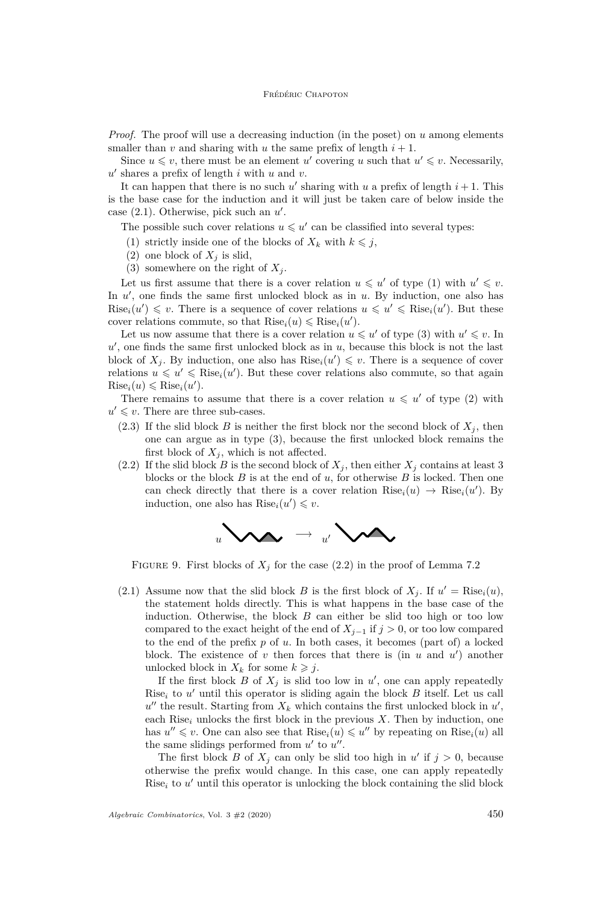*Proof.* The proof will use a decreasing induction (in the poset) on *u* among elements smaller than *v* and sharing with *u* the same prefix of length  $i + 1$ .

Since  $u \leq v$ , there must be an element *u'* covering *u* such that  $u' \leq v$ . Necessarily,  $u'$  shares a prefix of length  $i$  with  $u$  and  $v$ .

It can happen that there is no such  $u'$  sharing with  $u$  a prefix of length  $i + 1$ . This is the base case for the induction and it will just be taken care of below inside the case  $(2.1)$ . Otherwise, pick such an  $u'$ .

The possible such cover relations  $u \leq u'$  can be classified into several types:

- <span id="page-18-1"></span>(1) strictly inside one of the blocks of  $X_k$  with  $k \leq j$ ,
- <span id="page-18-3"></span>(2) one block of  $X_i$  is slid,
- (3) somewhere on the right of  $X_i$ .

<span id="page-18-2"></span>Let us first assume that there is a cover relation  $u \leq u'$  of type [\(1\)](#page-18-1) with  $u' \leq v$ . In  $u'$ , one finds the same first unlocked block as in  $u$ . By induction, one also has  $Rise_i(u') \leq v$ . There is a sequence of cover relations  $u \leq u' \leq Rise_i(u')$ . But these cover relations commute, so that  $Rise_i(u) \leq Rise_i(u')$ .

Let us now assume that there is a cover relation  $u \leq u'$  of type [\(3\)](#page-18-2) with  $u' \leq v$ . In  $u'$ , one finds the same first unlocked block as in  $u$ , because this block is not the last block of  $X_j$ . By induction, one also has  $Rise_i(u') \leq v$ . There is a sequence of cover relations  $u \leq u' \leq \text{Rise}_i(u')$ . But these cover relations also commute, so that again  $Rise_i(u) \leq Rise_i(u').$ 

There remains to assume that there is a cover relation  $u \leq u'$  of type [\(2\)](#page-18-3) with  $u' \leq v$ . There are three sub-cases.

- $(2.3)$  If the slid block *B* is neither the first block nor the second block of  $X_i$ , then one can argue as in type [\(3\)](#page-18-2), because the first unlocked block remains the first block of  $X_j$ , which is not affected.
- <span id="page-18-4"></span>(2.2) If the slid block *B* is the second block of  $X_j$ , then either  $X_j$  contains at least 3 blocks or the block *B* is at the end of *u*, for otherwise *B* is locked. Then one can check directly that there is a cover relation  $Rise_i(u) \rightarrow Rise_i(u')$ . By induction, one also has  $Rise_i(u') \leq v$ .



FIGURE 9. First blocks of  $X_j$  for the case [\(2.2\)](#page-18-4) in the proof of Lemma [7.2](#page-17-1)

<span id="page-18-0"></span>(2.1) Assume now that the slid block *B* is the first block of  $X_j$ . If  $u' = \text{Rise}_i(u)$ , the statement holds directly. This is what happens in the base case of the induction. Otherwise, the block *B* can either be slid too high or too low compared to the exact height of the end of  $X_{i-1}$  if  $j > 0$ , or too low compared to the end of the prefix *p* of *u*. In both cases, it becomes (part of) a locked block. The existence of  $v$  then forces that there is (in  $u$  and  $u'$ ) another unlocked block in  $X_k$  for some  $k \geq j$ .

If the first block  $B$  of  $X_j$  is slid too low in  $u'$ , one can apply repeatedly Rise<sub>i</sub> to  $u'$  until this operator is sliding again the block  $B$  itself. Let us call  $u''$  the result. Starting from  $X_k$  which contains the first unlocked block in  $u'$ , each  $Rise_i$  unlocks the first block in the previous  $X$ . Then by induction, one has  $u'' \leq v$ . One can also see that  $Rise_i(u) \leq u''$  by repeating on  $Rise_i(u)$  all the same slidings performed from  $u'$  to  $u''$ .

The first block *B* of  $X_j$  can only be slid too high in  $u'$  if  $j > 0$ , because otherwise the prefix would change. In this case, one can apply repeatedly  $Rise<sub>i</sub>$  to  $u'$  until this operator is unlocking the block containing the slid block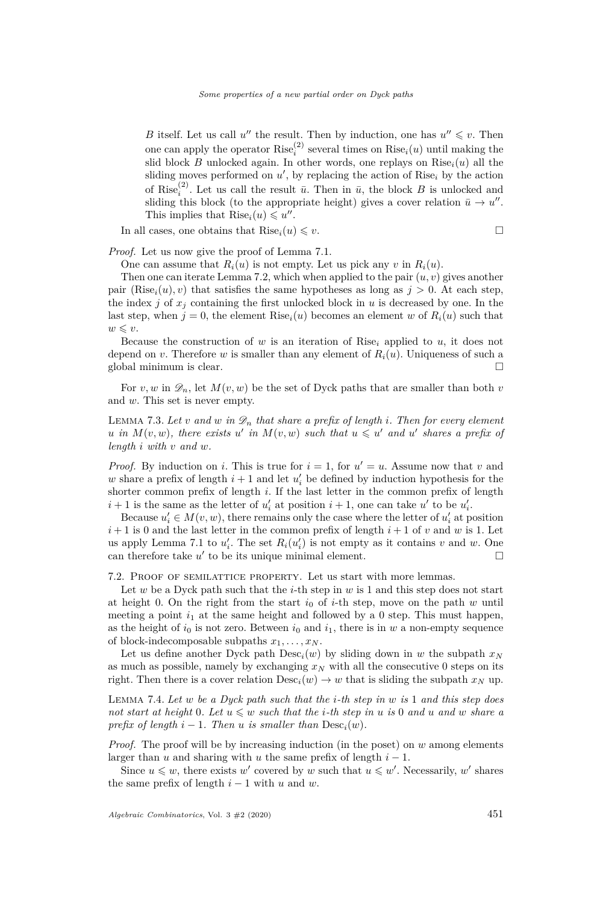*B* itself. Let us call  $u''$  the result. Then by induction, one has  $u'' \leq v$ . Then one can apply the operator  $Rise_i^{(2)}$  several times on  $Rise_i(u)$  until making the slid block *B* unlocked again. In other words, one replays on Rise*i*(*u*) all the sliding moves performed on  $u'$ , by replacing the action of Rise<sub>i</sub> by the action of Rise<sup>(2)</sup>. Let us call the result  $\bar{u}$ . Then in  $\bar{u}$ , the block *B* is unlocked and sliding this block (to the appropriate height) gives a cover relation  $\bar{u} \to u''$ . This implies that  $\text{Rise}_i(u) \leq u''$ .

In all cases, one obtains that  $Rise_i(u) \leq v$ .

$$
\qquad \qquad \Box
$$

*Proof.* Let us now give the proof of Lemma [7.1.](#page-17-2)

One can assume that  $R_i(u)$  is not empty. Let us pick any  $v$  in  $R_i(u)$ .

Then one can iterate Lemma [7.2,](#page-17-1) which when applied to the pair (*u, v*) gives another pair  $(Rise_i(u), v)$  that satisfies the same hypotheses as long as  $j > 0$ . At each step, the index  $j$  of  $x_j$  containing the first unlocked block in  $u$  is decreased by one. In the last step, when  $j = 0$ , the element  $Rise_i(u)$  becomes an element *w* of  $R_i(u)$  such that  $w \leq v$ .

Because the construction of *w* is an iteration of Rise<sub>i</sub> applied to *u*, it does not depend on *v*. Therefore *w* is smaller than any element of  $R_i(u)$ . Uniqueness of such a global minimum is clear.

For *v*, *w* in  $\mathscr{D}_n$ , let  $M(v, w)$  be the set of Dyck paths that are smaller than both *v* and *w*. This set is never empty.

<span id="page-19-2"></span>LEMMA 7.3. Let *v* and *w* in  $\mathscr{D}_n$  that share a prefix of length *i*. Then for every element *u* in  $M(v, w)$ , there exists *u*<sup>*i*</sup> in  $M(v, w)$  such that  $u \leq u'$  and  $u'$  shares a prefix of *length i with v and w.*

*Proof.* By induction on *i*. This is true for  $i = 1$ , for  $u' = u$ . Assume now that *v* and  $w$  share a prefix of length  $i + 1$  and let  $u'_{i}$  be defined by induction hypothesis for the shorter common prefix of length *i*. If the last letter in the common prefix of length  $i + 1$  is the same as the letter of  $u'_{i}$  at position  $i + 1$ , one can take  $u'$  to be  $u'_{i}$ .

Because  $u'_i \in M(v, w)$ , there remains only the case where the letter of  $u'_i$  at position  $i+1$  is 0 and the last letter in the common prefix of length  $i+1$  of *v* and *w* is 1. Let us apply Lemma [7.1](#page-17-2) to  $u'_i$ . The set  $R_i(u'_i)$  is not empty as it contains *v* and *w*. One can therefore take  $u'$  to be its unique minimal element.

<span id="page-19-0"></span>7.2. Proof of semilattice property. Let us start with more lemmas.

Let *w* be a Dyck path such that the *i*-th step in *w* is 1 and this step does not start at height 0. On the right from the start  $i_0$  of *i*-th step, move on the path *w* until meeting a point  $i_1$  at the same height and followed by a 0 step. This must happen, as the height of  $i_0$  is not zero. Between  $i_0$  and  $i_1$ , there is in *w* a non-empty sequence of block-indecomposable subpaths  $x_1, \ldots, x_N$ .

Let us define another Dyck path  $\text{Desc}_i(w)$  by sliding down in *w* the subpath  $x_N$ as much as possible, namely by exchanging  $x_N$  with all the consecutive 0 steps on its right. Then there is a cover relation  $\text{Desc}_i(w) \to w$  that is sliding the subpath  $x_N$  up.

<span id="page-19-1"></span>Lemma 7.4. *Let w be a Dyck path such that the i-th step in w is* 1 *and this step does not start at height* 0*. Let*  $u \leq w$  *such that the i-th step in*  $u$  *is* 0 *and*  $u$  *and*  $w$  *share*  $a$ *prefix of length*  $i - 1$ *. Then*  $u$  *is smaller than*  $\text{Desc}_i(w)$ *.* 

*Proof.* The proof will be by increasing induction (in the poset) on *w* among elements larger than *u* and sharing with *u* the same prefix of length  $i - 1$ .

Since  $u \leq w$ , there exists *w*' covered by *w* such that  $u \leq w'$ . Necessarily, *w*' shares the same prefix of length  $i - 1$  with  $u$  and  $w$ .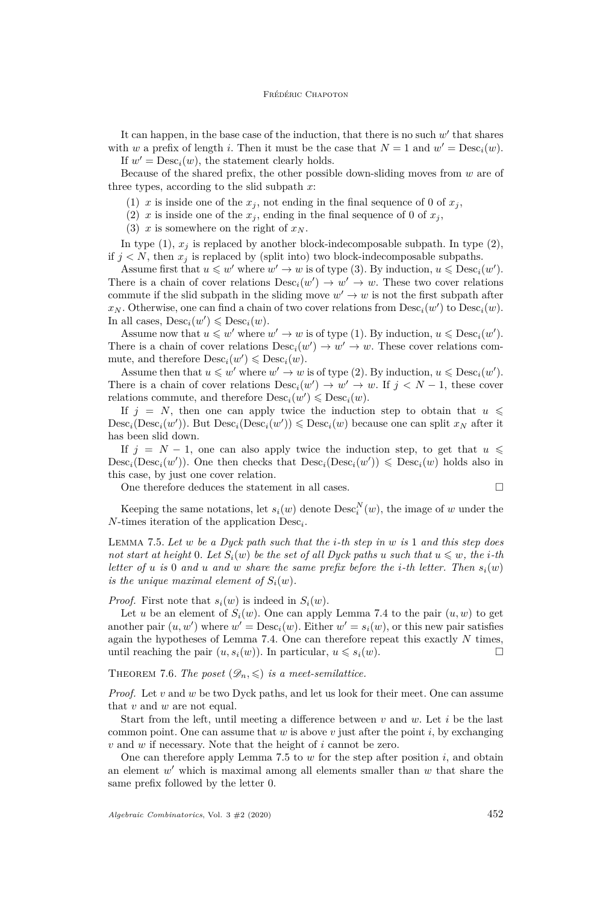It can happen, in the base case of the induction, that there is no such w' that shares with *w* a prefix of length *i*. Then it must be the case that  $N = 1$  and  $w' = \text{Desc}_i(w)$ . If  $w' = \text{Desc}_i(w)$ , the statement clearly holds.

Because of the shared prefix, the other possible down-sliding moves from *w* are of three types, according to the slid subpath *x*:

<span id="page-20-0"></span>(1)  $x$  is inside one of the  $x_j$ , not ending in the final sequence of 0 of  $x_j$ ,

<span id="page-20-1"></span>(2) *x* is inside one of the  $x_j$ , ending in the final sequence of 0 of  $x_j$ ,

(3)  $x$  is somewhere on the right of  $x_N$ .

<span id="page-20-2"></span>In type  $(1)$ ,  $x_j$  is replaced by another block-indecomposable subpath. In type  $(2)$ , if  $j < N$ , then  $x_j$  is replaced by (split into) two block-indecomposable subpaths.

Assume first that  $u \leq w'$  where  $w' \to w$  is of type [\(3\)](#page-20-2). By induction,  $u \leq \text{Desc}_i(w')$ . There is a chain of cover relations  $\text{Desc}_i(w') \to w' \to w$ . These two cover relations commute if the slid subpath in the sliding move  $w' \to w$  is not the first subpath after  $x_N$ . Otherwise, one can find a chain of two cover relations from  $\text{Desc}_i(w')$  to  $\text{Desc}_i(w)$ . In all cases,  $\text{Desc}_i(w') \leq \text{Desc}_i(w)$ .

Assume now that  $u \leq w'$  where  $w' \to w$  is of type [\(1\)](#page-20-0). By induction,  $u \leq \text{Desc}_i(w')$ . There is a chain of cover relations  $\text{Desc}_i(w') \to w' \to w$ . These cover relations commute, and therefore  $\text{Desc}_i(w') \leq \text{Desc}_i(w)$ .

Assume then that  $u \leq w'$  where  $w' \to w$  is of type [\(2\)](#page-20-1). By induction,  $u \leq \text{Desc}_i(w')$ . There is a chain of cover relations  $\text{Desc}_i(w') \to w' \to w$ . If  $j < N - 1$ , these cover relations commute, and therefore  $\text{Desc}_i(w') \leq \text{Desc}_i(w)$ .

If  $j = N$ , then one can apply twice the induction step to obtain that  $u \leq$  $\text{Desc}_i(\text{Desc}_i(w'))$ . But  $\text{Desc}_i(\text{Desc}_i(w')) \leq \text{Desc}_i(w)$  because one can split  $x_N$  after it has been slid down.

If  $j = N - 1$ , one can also apply twice the induction step, to get that  $u \leq$  $\text{Desc}_i(\text{Desc}_i(w'))$ . One then checks that  $\text{Desc}_i(\text{Desc}_i(w')) \leq \text{Desc}_i(w)$  holds also in this case, by just one cover relation.

One therefore deduces the statement in all cases.

$$
\mathbb{L}^2
$$

Keeping the same notations, let  $s_i(w)$  denote  $\text{Desc}_i^N(w)$ , the image of *w* under the *N*-times iteration of the application Desc*<sup>i</sup>* .

<span id="page-20-3"></span>Lemma 7.5. *Let w be a Dyck path such that the i-th step in w is* 1 *and this step does not start at height* 0*. Let*  $S_i(w)$  *be the set of all Dyck paths u such that*  $u \leq w$ *, the i*-th *letter of*  $u$  *is* 0 *and*  $u$  *and*  $w$  *share the same prefix before the <i>i*-th *letter. Then*  $s_i(w)$ *is the unique maximal element of*  $S_i(w)$ *.* 

*Proof.* First note that  $s_i(w)$  is indeed in  $S_i(w)$ .

Let *u* be an element of  $S_i(w)$ . One can apply Lemma [7.4](#page-19-1) to the pair  $(u, w)$  to get another pair  $(u, w')$  where  $w' = \text{Desc}_i(w)$ . Either  $w' = s_i(w)$ , or this new pair satisfies again the hypotheses of Lemma [7.4.](#page-19-1) One can therefore repeat this exactly *N* times, until reaching the pair  $(u, s_i(w))$ . In particular,  $u \leq s_i(w)$ .

THEOREM 7.6. The poset  $(\mathscr{D}_n, \leqslant)$  is a meet-semilattice.

*Proof.* Let *v* and *w* be two Dyck paths, and let us look for their meet. One can assume that *v* and *w* are not equal.

Start from the left, until meeting a difference between *v* and *w*. Let *i* be the last common point. One can assume that  $w$  is above  $v$  just after the point  $i$ , by exchanging *v* and *w* if necessary. Note that the height of *i* cannot be zero.

One can therefore apply Lemma [7.5](#page-20-3) to *w* for the step after position *i*, and obtain an element  $w'$  which is maximal among all elements smaller than  $w$  that share the same prefix followed by the letter 0.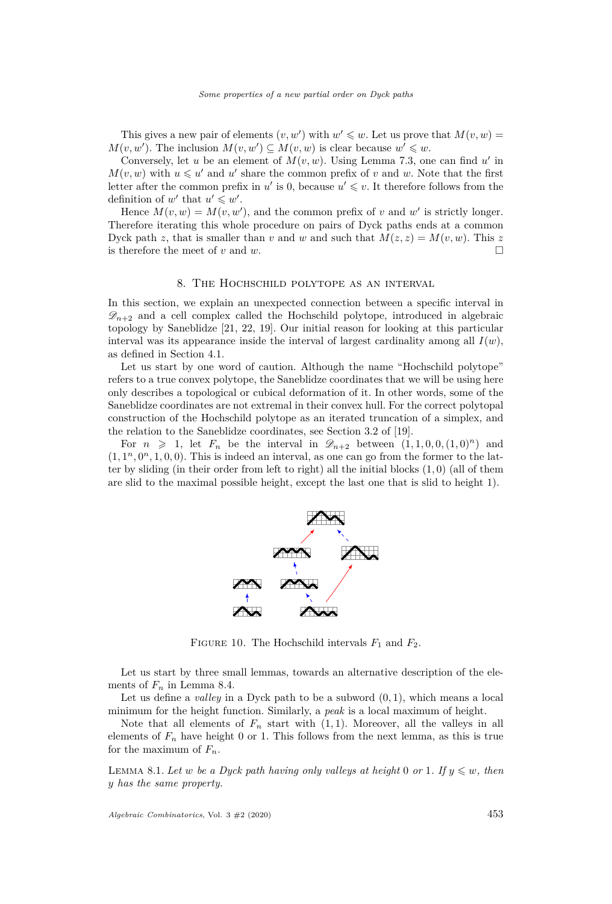This gives a new pair of elements  $(v, w')$  with  $w' \leq w$ . Let us prove that  $M(v, w) =$  $M(v, w')$ . The inclusion  $M(v, w') \subseteq M(v, w)$  is clear because  $w' \leq v$ .

Conversely, let *u* be an element of  $M(v, w)$ . Using Lemma [7.3,](#page-19-2) one can find  $u'$  in  $M(v, w)$  with  $u \leqslant u'$  and  $u'$  share the common prefix of *v* and *w*. Note that the first letter after the common prefix in  $u'$  is 0, because  $u' \leq v$ . It therefore follows from the definition of  $w'$  that  $u' \leq w'$ .

Hence  $M(v, w) = M(v, w')$ , and the common prefix of *v* and *w'* is strictly longer. Therefore iterating this whole procedure on pairs of Dyck paths ends at a common Dyck path *z*, that is smaller than *v* and *w* and such that  $M(z, z) = M(v, w)$ . This *z* is therefore the meet of  $v$  and  $w$ .

# 8. The Hochschild polytope as an interval

<span id="page-21-0"></span>In this section, we explain an unexpected connection between a specific interval in  $\mathscr{D}_{n+2}$  and a cell complex called the Hochschild polytope, introduced in algebraic topology by Saneblidze [\[21,](#page-31-1) [22,](#page-31-2) [19\]](#page-31-6). Our initial reason for looking at this particular interval was its appearance inside the interval of largest cardinality among all  $I(w)$ , as defined in Section [4.1.](#page-11-2)

Let us start by one word of caution. Although the name "Hochschild polytope" refers to a true convex polytope, the Saneblidze coordinates that we will be using here only describes a topological or cubical deformation of it. In other words, some of the Saneblidze coordinates are not extremal in their convex hull. For the correct polytopal construction of the Hochschild polytope as an iterated truncation of a simplex, and the relation to the Saneblidze coordinates, see Section 3.2 of [\[19\]](#page-31-6).

For  $n \geq 1$ , let  $F_n$  be the interval in  $\mathscr{D}_{n+2}$  between  $(1,1,0,0,(1,0)^n)$  and  $(1, 1<sup>n</sup>, 0<sup>n</sup>, 1, 0, 0)$ . This is indeed an interval, as one can go from the former to the latter by sliding (in their order from left to right) all the initial blocks (1*,* 0) (all of them are slid to the maximal possible height, except the last one that is slid to height 1).



FIGURE 10. The Hochschild intervals  $F_1$  and  $F_2$ .

Let us start by three small lemmas, towards an alternative description of the elements of  $F_n$  in Lemma [8.4.](#page-22-0)

Let us define a *valley* in a Dyck path to be a subword (0*,* 1), which means a local minimum for the height function. Similarly, a *peak* is a local maximum of height.

Note that all elements of  $F_n$  start with  $(1, 1)$ . Moreover, all the valleys in all elements of  $F_n$  have height 0 or 1. This follows from the next lemma, as this is true for the maximum of  $F_n$ .

<span id="page-21-1"></span>LEMMA 8.1. Let *w* be a Dyck path having only valleys at height 0 or 1. If  $y \leq w$ , then *y has the same property.*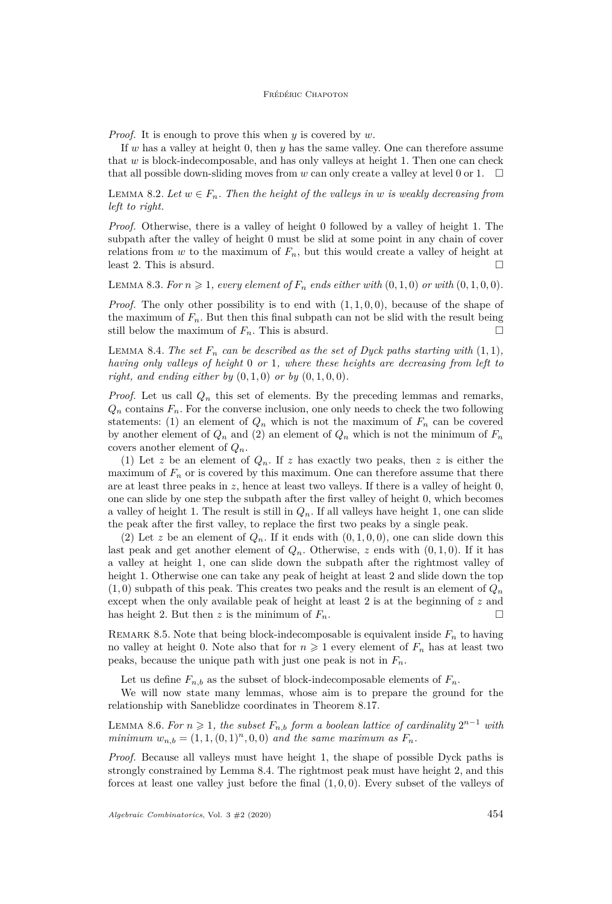#### Frédéric Chapoton

*Proof.* It is enough to prove this when *y* is covered by *w*.

If *w* has a valley at height 0, then *y* has the same valley. One can therefore assume that  $w$  is block-indecomposable, and has only valleys at height 1. Then one can check that all possible down-sliding moves from *w* can only create a valley at level 0 or 1.  $\Box$ 

<span id="page-22-2"></span>LEMMA 8.2. Let  $w \in F_n$ . Then the height of the valleys in w is weakly decreasing from *left to right.*

*Proof.* Otherwise, there is a valley of height 0 followed by a valley of height 1. The subpath after the valley of height 0 must be slid at some point in any chain of cover relations from  $w$  to the maximum of  $F_n$ , but this would create a valley of height at least 2. This is absurd.  $\square$ 

LEMMA 8.3. For  $n \geq 1$ , every element of  $F_n$  ends either with  $(0,1,0)$  or with  $(0,1,0,0)$ .

*Proof.* The only other possibility is to end with (1*,* 1*,* 0*,* 0), because of the shape of the maximum of  $F_n$ . But then this final subpath can not be slid with the result being still below the maximum of  $F_n$ . This is absurd.

<span id="page-22-0"></span>LEMMA 8.4. The set  $F_n$  can be described as the set of Dyck paths starting with  $(1,1)$ , *having only valleys of height* 0 *or* 1*, where these heights are decreasing from left to right, and ending either by*  $(0, 1, 0)$  *or by*  $(0, 1, 0, 0)$ *.* 

*Proof.* Let us call  $Q_n$  this set of elements. By the preceding lemmas and remarks,  $Q_n$  contains  $F_n$ . For the converse inclusion, one only needs to check the two following statements: (1) an element of  $Q_n$  which is not the maximum of  $F_n$  can be covered by another element of  $Q_n$  and (2) an element of  $Q_n$  which is not the minimum of  $F_n$ covers another element of *Qn*.

(1) Let *z* be an element of *Qn*. If *z* has exactly two peaks, then *z* is either the maximum of  $F<sub>n</sub>$  or is covered by this maximum. One can therefore assume that there are at least three peaks in *z*, hence at least two valleys. If there is a valley of height 0, one can slide by one step the subpath after the first valley of height 0, which becomes a valley of height 1. The result is still in  $Q_n$ . If all valleys have height 1, one can slide the peak after the first valley, to replace the first two peaks by a single peak.

(2) Let *z* be an element of  $Q_n$ . If it ends with  $(0, 1, 0, 0)$ , one can slide down this last peak and get another element of  $Q_n$ . Otherwise, z ends with  $(0, 1, 0)$ . If it has a valley at height 1, one can slide down the subpath after the rightmost valley of height 1. Otherwise one can take any peak of height at least 2 and slide down the top  $(1,0)$  subpath of this peak. This creates two peaks and the result is an element of  $Q_n$ except when the only available peak of height at least 2 is at the beginning of *z* and has height 2. But then  $z$  is the minimum of  $F_n$ .

REMARK 8.5. Note that being block-indecomposable is equivalent inside  $F_n$  to having no valley at height 0. Note also that for  $n \geq 1$  every element of  $F_n$  has at least two peaks, because the unique path with just one peak is not in  $F_n$ .

Let us define  $F_{n,b}$  as the subset of block-indecomposable elements of  $F_n$ .

We will now state many lemmas, whose aim is to prepare the ground for the relationship with Saneblidze coordinates in Theorem [8.17.](#page-25-0)

<span id="page-22-1"></span>LEMMA 8.6. For  $n \geq 1$ , the subset  $F_{n,b}$  form a boolean lattice of cardinality  $2^{n-1}$  with *minimum*  $w_{n,b} = (1, 1, (0, 1)^n, 0, 0)$  *and the same maximum as*  $F_n$ .

*Proof.* Because all valleys must have height 1, the shape of possible Dyck paths is strongly constrained by Lemma [8.4.](#page-22-0) The rightmost peak must have height 2, and this forces at least one valley just before the final (1*,* 0*,* 0). Every subset of the valleys of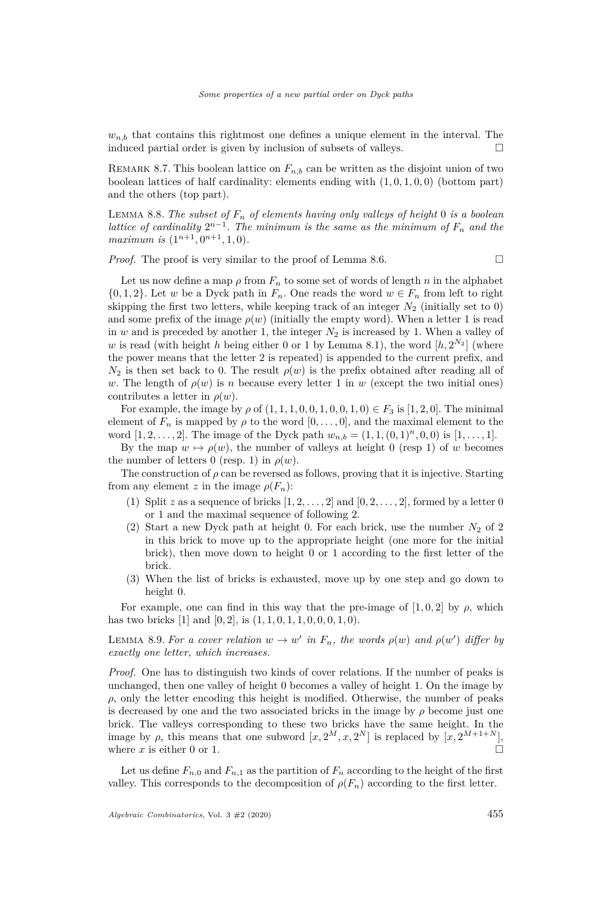$w_{n,b}$  that contains this rightmost one defines a unique element in the interval. The induced partial order is given by inclusion of subsets of valleys.

REMARK 8.7. This boolean lattice on  $F_{n,b}$  can be written as the disjoint union of two boolean lattices of half cardinality: elements ending with (1*,* 0*,* 1*,* 0*,* 0) (bottom part) and the others (top part).

<span id="page-23-2"></span>Lemma 8.8. *The subset of F<sup>n</sup> of elements having only valleys of height* 0 *is a boolean lattice of cardinality*  $2^{n-1}$ *. The minimum is the same as the minimum of*  $F_n$  *and the maximum is*  $(1^{n+1}, 0^{n+1}, 1, 0)$ *.* 

*Proof.* The proof is very similar to the proof of Lemma [8.6.](#page-22-1)

Let us now define a map  $\rho$  from  $F_n$  to some set of words of length  $n$  in the alphabet  $\{0, 1, 2\}$ . Let *w* be a Dyck path in  $F_n$ . One reads the word  $w \in F_n$  from left to right skipping the first two letters, while keeping track of an integer  $N_2$  (initially set to 0) and some prefix of the image  $\rho(w)$  (initially the empty word). When a letter 1 is read in  $w$  and is preceded by another 1, the integer  $N_2$  is increased by 1. When a valley of w is read (with height *h* being either 0 or 1 by Lemma [8.1\)](#page-21-1), the word  $[h, 2^{N_2}]$  (where the power means that the letter 2 is repeated) is appended to the current prefix, and  $N_2$  is then set back to 0. The result  $\rho(w)$  is the prefix obtained after reading all of *w*. The length of  $\rho(w)$  is *n* because every letter 1 in *w* (except the two initial ones) contributes a letter in *ρ*(*w*).

For example, the image by  $\rho$  of  $(1, 1, 1, 0, 0, 1, 0, 0, 1, 0) \in F_3$  is  $[1, 2, 0]$ . The minimal element of  $F_n$  is mapped by  $\rho$  to the word  $[0, \ldots, 0]$ , and the maximal element to the word  $[1, 2, \ldots, 2]$ . The image of the Dyck path  $w_{n,b} = (1, 1, (0, 1)^n, 0, 0)$  is  $[1, \ldots, 1]$ .

By the map  $w \mapsto \rho(w)$ , the number of valleys at height 0 (resp 1) of *w* becomes the number of letters 0 (resp. 1) in  $\rho(w)$ .

The construction of  $\rho$  can be reversed as follows, proving that it is injective. Starting from any element *z* in the image  $\rho(F_n)$ :

- (1) Split *z* as a sequence of bricks  $[1, 2, \ldots, 2]$  and  $[0, 2, \ldots, 2]$ , formed by a letter 0 or 1 and the maximal sequence of following 2.
- (2) Start a new Dyck path at height 0. For each brick, use the number  $N_2$  of 2 in this brick to move up to the appropriate height (one more for the initial brick), then move down to height 0 or 1 according to the first letter of the brick.
- (3) When the list of bricks is exhausted, move up by one step and go down to height 0.

For example, one can find in this way that the pre-image of  $[1, 0, 2]$  by  $\rho$ , which has two bricks [1] and [0*,* 2], is (1*,* 1*,* 0*,* 1*,* 1*,* 0*,* 0*,* 0*,* 1*,* 0).

<span id="page-23-0"></span>LEMMA 8.9. For a cover relation  $w \to w'$  in  $F_n$ , the words  $\rho(w)$  and  $\rho(w')$  differ by *exactly one letter, which increases.*

*Proof.* One has to distinguish two kinds of cover relations. If the number of peaks is unchanged, then one valley of height 0 becomes a valley of height 1. On the image by  $\rho$ , only the letter encoding this height is modified. Otherwise, the number of peaks is decreased by one and the two associated bricks in the image by  $\rho$  become just one brick. The valleys corresponding to these two bricks have the same height. In the image by  $\rho$ , this means that one subword  $[x, 2^M, x, 2^N]$  is replaced by  $[x, 2^{M+1+N}]$ , where  $x$  is either 0 or 1.

<span id="page-23-1"></span>Let us define  $F_n$  o and  $F_{n,1}$  as the partition of  $F_n$  according to the height of the first valley. This corresponds to the decomposition of  $\rho(F_n)$  according to the first letter.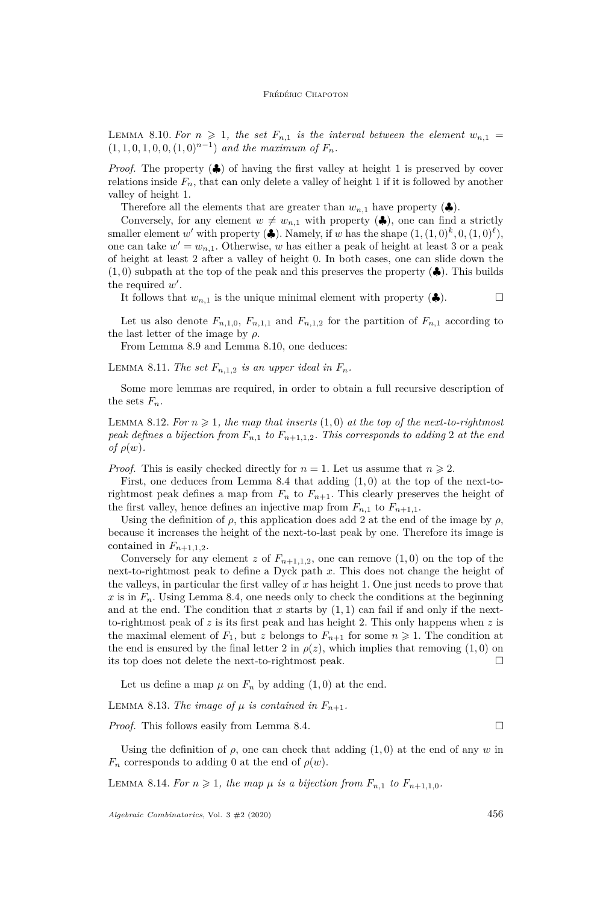LEMMA 8.10. For  $n \geq 1$ , the set  $F_{n,1}$  is the interval between the element  $w_{n,1} =$  $(1, 1, 0, 1, 0, 0, (1, 0)^{n-1})$  *and the maximum of*  $F_n$ .

*Proof.* The property (♦) of having the first valley at height 1 is preserved by cover relations inside  $F_n$ , that can only delete a valley of height 1 if it is followed by another valley of height 1.

Therefore all the elements that are greater than  $w_{n,1}$  have property  $(\clubsuit)$ .

Conversely, for any element  $w \neq w_{n,1}$  with property ( $\clubsuit$ ), one can find a strictly smaller element *w'* with property ( $\clubsuit$ ). Namely, if *w* has the shape  $(1, (1,0)^k, 0, (1,0)^{\ell})$ , one can take  $w' = w_{n,1}$ . Otherwise, *w* has either a peak of height at least 3 or a peak of height at least 2 after a valley of height 0. In both cases, one can slide down the  $(1,0)$  subpath at the top of the peak and this preserves the property  $(\clubsuit)$ . This builds the required  $w'$ .

It follows that  $w_{n,1}$  is the unique minimal element with property  $(\clubsuit)$ .

Let us also denote  $F_{n,1,0}$ ,  $F_{n,1,1}$  and  $F_{n,1,2}$  for the partition of  $F_{n,1}$  according to the last letter of the image by  $\rho$ .

From Lemma [8.9](#page-23-0) and Lemma [8.10,](#page-23-1) one deduces:

LEMMA 8.11. *The set*  $F_{n,1,2}$  *is an upper ideal in*  $F_n$ .

Some more lemmas are required, in order to obtain a full recursive description of the sets  $F_n$ .

<span id="page-24-1"></span>LEMMA 8.12. For  $n \geqslant 1$ , the map that inserts  $(1,0)$  at the top of the next-to-rightmost *peak defines a bijection from*  $F_{n,1}$  *to*  $F_{n+1,1,2}$ *. This corresponds to adding* 2 *at the end of*  $\rho(w)$ *.* 

*Proof.* This is easily checked directly for  $n = 1$ . Let us assume that  $n \geq 2$ .

First, one deduces from Lemma [8.4](#page-22-0) that adding (1*,* 0) at the top of the next-torightmost peak defines a map from  $F_n$  to  $F_{n+1}$ . This clearly preserves the height of the first valley, hence defines an injective map from  $F_{n,1}$  to  $F_{n+1,1}$ .

Using the definition of  $\rho$ , this application does add 2 at the end of the image by  $\rho$ , because it increases the height of the next-to-last peak by one. Therefore its image is contained in  $F_{n+1,1,2}$ .

Conversely for any element *z* of  $F_{n+1,1,2}$ , one can remove  $(1,0)$  on the top of the next-to-rightmost peak to define a Dyck path *x*. This does not change the height of the valleys, in particular the first valley of *x* has height 1. One just needs to prove that  $x$  is in  $F_n$ . Using Lemma [8.4,](#page-22-0) one needs only to check the conditions at the beginning and at the end. The condition that  $x$  starts by  $(1,1)$  can fail if and only if the nextto-rightmost peak of *z* is its first peak and has height 2. This only happens when *z* is the maximal element of  $F_1$ , but *z* belongs to  $F_{n+1}$  for some  $n \ge 1$ . The condition at the end is ensured by the final letter 2 in  $\rho(z)$ , which implies that removing  $(1,0)$  on its top does not delete the next-to-rightmost peak.

Let us define a map  $\mu$  on  $F_n$  by adding  $(1,0)$  at the end.

LEMMA 8.13. *The image of*  $\mu$  *is contained in*  $F_{n+1}$ .

*Proof.* This follows easily from Lemma [8.4.](#page-22-0) □

Using the definition of  $\rho$ , one can check that adding  $(1,0)$  at the end of any *w* in  $F_n$  corresponds to adding 0 at the end of  $\rho(w)$ .

<span id="page-24-0"></span>LEMMA 8.14. For  $n \geq 1$ , the map  $\mu$  is a bijection from  $F_{n,1}$  to  $F_{n+1,1,0}$ .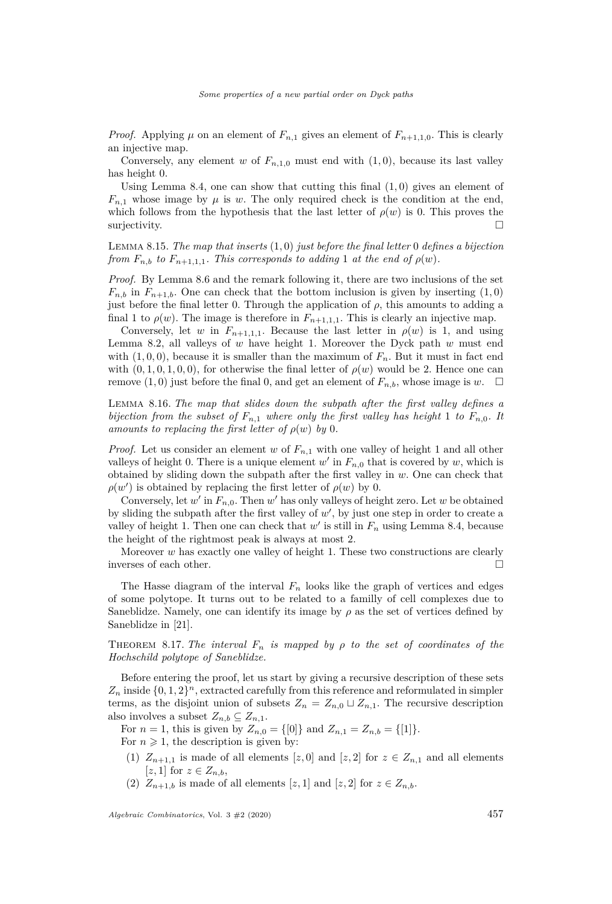*Proof.* Applying  $\mu$  on an element of  $F_{n,1}$  gives an element of  $F_{n+1,1,0}$ . This is clearly an injective map.

Conversely, any element *w* of  $F_{n,1,0}$  must end with  $(1,0)$ , because its last valley has height 0.

Using Lemma [8.4,](#page-22-0) one can show that cutting this final (1*,* 0) gives an element of  $F_{n,1}$  whose image by  $\mu$  is *w*. The only required check is the condition at the end, which follows from the hypothesis that the last letter of  $\rho(w)$  is 0. This proves the surjectivity.  $\square$ 

<span id="page-25-1"></span>Lemma 8.15. *The map that inserts* (1*,* 0) *just before the final letter* 0 *defines a bijection from*  $F_{n,b}$  *to*  $F_{n+1,1,1}$ *. This corresponds to adding* 1 *at the end of*  $\rho(w)$ *.* 

*Proof.* By Lemma [8.6](#page-22-1) and the remark following it, there are two inclusions of the set  $F_{n,b}$  in  $F_{n+1,b}$ . One can check that the bottom inclusion is given by inserting  $(1,0)$ just before the final letter 0. Through the application of  $\rho$ , this amounts to adding a final 1 to  $\rho(w)$ . The image is therefore in  $F_{n+1,1,1}$ . This is clearly an injective map.

Conversely, let *w* in  $F_{n+1,1,1}$ . Because the last letter in  $\rho(w)$  is 1, and using Lemma [8.2,](#page-22-2) all valleys of *w* have height 1. Moreover the Dyck path *w* must end with  $(1, 0, 0)$ , because it is smaller than the maximum of  $F_n$ . But it must in fact end with  $(0, 1, 0, 1, 0, 0)$ , for otherwise the final letter of  $\rho(w)$  would be 2. Hence one can remove  $(1,0)$  just before the final 0, and get an element of  $F_{n,b}$ , whose image is *w*.  $\square$ 

<span id="page-25-4"></span>Lemma 8.16. *The map that slides down the subpath after the first valley defines a bijection from the subset of*  $F_{n,1}$  *where only the first valley has height* 1 *to*  $F_{n,0}$ *. It amounts to replacing the first letter of*  $\rho(w)$  *by* 0*.* 

*Proof.* Let us consider an element *w* of *Fn,*<sup>1</sup> with one valley of height 1 and all other valleys of height 0. There is a unique element  $w'$  in  $F_{n,0}$  that is covered by  $w$ , which is obtained by sliding down the subpath after the first valley in *w*. One can check that  $\rho(w')$  is obtained by replacing the first letter of  $\rho(w)$  by 0.

Conversely, let  $w'$  in  $F_{n,0}$ . Then  $w'$  has only valleys of height zero. Let  $w$  be obtained by sliding the subpath after the first valley of  $w'$ , by just one step in order to create a valley of height 1. Then one can check that  $w'$  is still in  $F_n$  using Lemma [8.4,](#page-22-0) because the height of the rightmost peak is always at most 2.

Moreover *w* has exactly one valley of height 1. These two constructions are clearly inverses of each other.

The Hasse diagram of the interval  $F_n$  looks like the graph of vertices and edges of some polytope. It turns out to be related to a familly of cell complexes due to Saneblidze. Namely, one can identify its image by  $\rho$  as the set of vertices defined by Saneblidze in [\[21\]](#page-31-1).

<span id="page-25-0"></span>THEOREM 8.17. *The interval*  $F_n$  *is mapped by*  $\rho$  *to the set of coordinates of the Hochschild polytope of Saneblidze.*

Before entering the proof, let us start by giving a recursive description of these sets  $Z_n$  inside  $\{0, 1, 2\}^n$ , extracted carefully from this reference and reformulated in simpler terms, as the disjoint union of subsets  $Z_n = Z_{n,0} \sqcup Z_{n,1}$ . The recursive description also involves a subset  $Z_{n,b} \subseteq Z_{n,1}$ .

For  $n = 1$ , this is given by  $Z_{n,0} = \{0\}$  and  $Z_{n,1} = Z_{n,b} = \{1\}$ .

<span id="page-25-2"></span>For  $n \geq 1$ , the description is given by:

- (1)  $Z_{n+1,1}$  is made of all elements [*z*, 0] and [*z*, 2] for  $z \in Z_{n,1}$  and all elements  $[z, 1]$  for  $z \in Z_{n,b}$ ,
- <span id="page-25-3"></span>(2)  $Z_{n+1,b}$  is made of all elements [*z*, 1] and [*z*, 2] for  $z \in Z_{n,b}$ .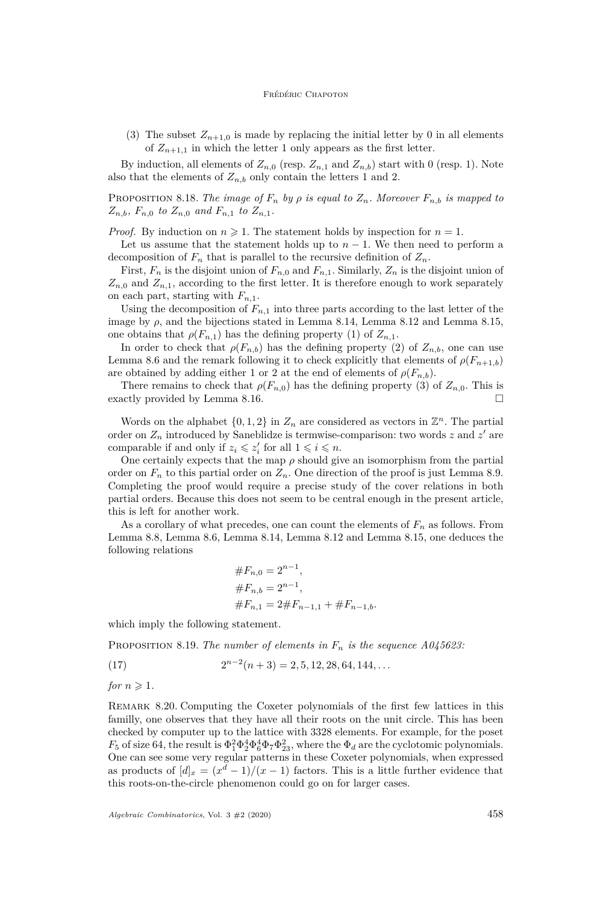<span id="page-26-0"></span>(3) The subset  $Z_{n+1,0}$  is made by replacing the initial letter by 0 in all elements of  $Z_{n+1,1}$  in which the letter 1 only appears as the first letter.

By induction, all elements of  $Z_{n,0}$  (resp.  $Z_{n,1}$  and  $Z_{n,b}$ ) start with 0 (resp. 1). Note also that the elements of  $Z_{n,b}$  only contain the letters 1 and 2.

PROPOSITION 8.18. *The image of*  $F_n$  *by*  $\rho$  *is equal to*  $Z_n$ *. Moreover*  $F_{n,b}$  *is mapped to*  $Z_{n,b}$ *, F<sub>n,0</sub> to*  $Z_{n,0}$  *<i>and*  $F_{n,1}$  *to*  $Z_{n,1}$ *.* 

*Proof.* By induction on  $n \geq 1$ . The statement holds by inspection for  $n = 1$ .

Let us assume that the statement holds up to  $n-1$ . We then need to perform a decomposition of  $F_n$  that is parallel to the recursive definition of  $Z_n$ .

First,  $F_n$  is the disjoint union of  $F_{n,0}$  and  $F_{n,1}$ . Similarly,  $Z_n$  is the disjoint union of  $Z_{n,0}$  and  $Z_{n,1}$ , according to the first letter. It is therefore enough to work separately on each part, starting with  $F_{n,1}$ .

Using the decomposition of  $F_{n,1}$  into three parts according to the last letter of the image by  $\rho$ , and the bijections stated in Lemma [8.14,](#page-24-0) Lemma [8.12](#page-24-1) and Lemma [8.15,](#page-25-1) one obtains that  $\rho(F_{n,1})$  has the defining property [\(1\)](#page-25-2) of  $Z_{n,1}$ .

In order to check that  $\rho(F_{n,b})$  has the defining property [\(2\)](#page-25-3) of  $Z_{n,b}$ , one can use Lemma [8.6](#page-22-1) and the remark following it to check explicitly that elements of  $\rho(F_{n+1,b})$ are obtained by adding either 1 or 2 at the end of elements of  $\rho(F_{n,b})$ .

There remains to check that  $\rho(F_{n,0})$  has the defining property [\(3\)](#page-26-0) of  $Z_{n,0}$ . This is exactly provided by Lemma [8.16.](#page-25-4)

Words on the alphabet  $\{0, 1, 2\}$  in  $Z_n$  are considered as vectors in  $\mathbb{Z}^n$ . The partial order on  $Z_n$  introduced by Saneblidze is termwise-comparison: two words  $z$  and  $z'$  are comparable if and only if  $z_i \leq z'_i$  for all  $1 \leq i \leq n$ .

One certainly expects that the map  $\rho$  should give an isomorphism from the partial order on  $F_n$  to this partial order on  $Z_n$ . One direction of the proof is just Lemma [8.9.](#page-23-0) Completing the proof would require a precise study of the cover relations in both partial orders. Because this does not seem to be central enough in the present article, this is left for another work.

As a corollary of what precedes, one can count the elements of *F<sup>n</sup>* as follows. From Lemma [8.8,](#page-23-2) Lemma [8.6,](#page-22-1) Lemma [8.14,](#page-24-0) Lemma [8.12](#page-24-1) and Lemma [8.15,](#page-25-1) one deduces the following relations

$$
\#F_{n,0} = 2^{n-1},
$$
  
\n
$$
\#F_{n,b} = 2^{n-1},
$$
  
\n
$$
\#F_{n,1} = 2 \#F_{n-1,1} + \#F_{n-1,b}.
$$

which imply the following statement.

Proposition 8.19. *The number of elements in F<sup>n</sup> is the sequence [A045623:](https://oeis.org/A045623)*

(17) 
$$
2^{n-2}(n+3) = 2, 5, 12, 28, 64, 144, ...
$$

*for*  $n \geqslant 1$ *.* 

Remark 8.20. Computing the Coxeter polynomials of the first few lattices in this familly, one observes that they have all their roots on the unit circle. This has been checked by computer up to the lattice with 3328 elements. For example, for the poset  $F_5$  of size 64, the result is  $\Phi_1^2 \Phi_2^4 \Phi_4^4 \Phi_7 \Phi_{23}^2$ , where the  $\Phi_d$  are the cyclotomic polynomials. One can see some very regular patterns in these Coxeter polynomials, when expressed as products of  $[d]_x = (x^d - 1)/(x - 1)$  factors. This is a little further evidence that this roots-on-the-circle phenomenon could go on for larger cases.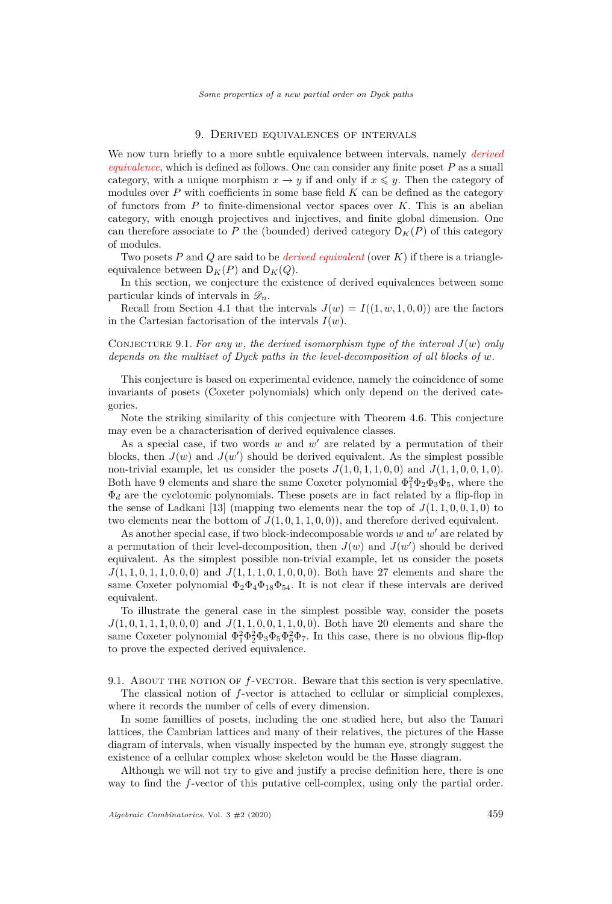# 9. Derived equivalences of intervals

<span id="page-27-0"></span>We now turn briefly to a more subtle equivalence between intervals, namely *derived equivalence*, which is defined as follows. One can consider any finite poset *P* as a small category, with a unique morphism  $x \to y$  if and only if  $x \leq y$ . Then the category of modules over P with coefficients in some base field K can be defined as the category of functors from *P* to finite-dimensional vector spaces over *K*. This is an abelian category, with enough projectives and injectives, and finite global dimension. One can therefore associate to P the (bounded) derived category  $D_K(P)$  of this category of modules.

Two posets *P* and *Q* are said to be *derived equivalent* (over *K*) if there is a triangleequivalence between  $D_K(P)$  and  $D_K(Q)$ .

In this section, we conjecture the existence of derived equivalences between some particular kinds of intervals in  $\mathscr{D}_n$ .

Recall from Section [4.1](#page-11-2) that the intervals  $J(w) = I((1, w, 1, 0, 0))$  are the factors in the Cartesian factorisation of the intervals  $I(w)$ .

CONJECTURE 9.1. For any  $w$ , the derived isomorphism type of the interval  $J(w)$  only *depends on the multiset of Dyck paths in the level-decomposition of all blocks of w.*

This conjecture is based on experimental evidence, namely the coincidence of some invariants of posets (Coxeter polynomials) which only depend on the derived categories.

Note the striking similarity of this conjecture with Theorem [4.6.](#page-12-3) This conjecture may even be a characterisation of derived equivalence classes.

As a special case, if two words  $w$  and  $w'$  are related by a permutation of their blocks, then  $J(w)$  and  $J(w')$  should be derived equivalent. As the simplest possible non-trivial example, let us consider the posets  $J(1, 0, 1, 1, 0, 0)$  and  $J(1, 1, 0, 0, 1, 0)$ . Both have 9 elements and share the same Coxeter polynomial  $\Phi_1^2 \Phi_2 \Phi_3 \Phi_5$ , where the Φ*<sup>d</sup>* are the cyclotomic polynomials. These posets are in fact related by a flip-flop in the sense of Ladkani [\[13\]](#page-30-13) (mapping two elements near the top of  $J(1, 1, 0, 0, 1, 0)$  to two elements near the bottom of  $J(1, 0, 1, 1, 0, 0)$ , and therefore derived equivalent.

As another special case, if two block-indecomposable words  $w$  and  $w'$  are related by a permutation of their level-decomposition, then  $J(w)$  and  $J(w')$  should be derived equivalent. As the simplest possible non-trivial example, let us consider the posets *J*(1*,* 1*,* 0*,* 1*,* 1*,* 0*,* 0*,* 0) and *J*(1*,* 1*,* 1*,* 0*,* 1*,* 0*,* 0*,* 0). Both have 27 elements and share the same Coxeter polynomial  $\Phi_2\Phi_4\Phi_{18}\Phi_{54}$ . It is not clear if these intervals are derived equivalent.

To illustrate the general case in the simplest possible way, consider the posets *J*(1*,* 0*,* 1*,* 1*,* 1*,* 0*,* 0*,* 0) and *J*(1*,* 1*,* 0*,* 0*,* 1*,* 1*,* 0*,* 0). Both have 20 elements and share the same Coxeter polynomial  $\Phi_1^2 \Phi_2^2 \Phi_3 \Phi_5 \Phi_6^2 \Phi_7$ . In this case, there is no obvious flip-flop to prove the expected derived equivalence.

9.1. About the notion of *f*-vector. Beware that this section is very speculative. The classical notion of *f*-vector is attached to cellular or simplicial complexes,

where it records the number of cells of every dimension.

In some famillies of posets, including the one studied here, but also the Tamari lattices, the Cambrian lattices and many of their relatives, the pictures of the Hasse diagram of intervals, when visually inspected by the human eye, strongly suggest the existence of a cellular complex whose skeleton would be the Hasse diagram.

Although we will not try to give and justify a precise definition here, there is one way to find the *f*-vector of this putative cell-complex, using only the partial order.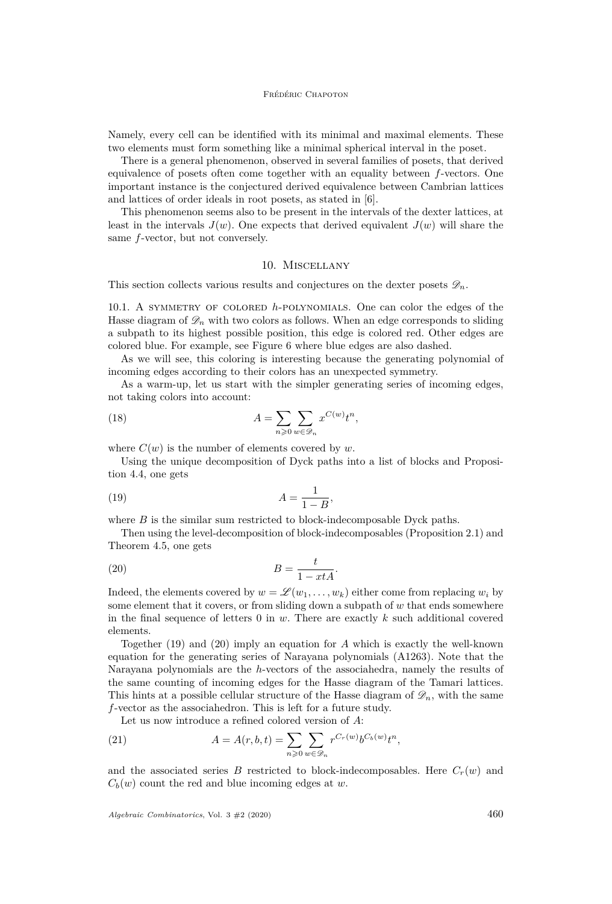Namely, every cell can be identified with its minimal and maximal elements. These two elements must form something like a minimal spherical interval in the poset.

There is a general phenomenon, observed in several families of posets, that derived equivalence of posets often come together with an equality between *f*-vectors. One important instance is the conjectured derived equivalence between Cambrian lattices and lattices of order ideals in root posets, as stated in [\[6\]](#page-30-8).

This phenomenon seems also to be present in the intervals of the dexter lattices, at least in the intervals  $J(w)$ . One expects that derived equivalent  $J(w)$  will share the same *f*-vector, but not conversely.

# 10. Miscellany

<span id="page-28-0"></span>This section collects various results and conjectures on the dexter posets  $\mathscr{D}_n$ .

<span id="page-28-1"></span>10.1. A symmetry of colored *h*-polynomials. One can color the edges of the Hasse diagram of  $\mathscr{D}_n$  with two colors as follows. When an edge corresponds to sliding a subpath to its highest possible position, this edge is colored red. Other edges are colored blue. For example, see Figure [6](#page-5-0) where blue edges are also dashed.

As we will see, this coloring is interesting because the generating polynomial of incoming edges according to their colors has an unexpected symmetry.

As a warm-up, let us start with the simpler generating series of incoming edges, not taking colors into account:

(18) 
$$
A = \sum_{n\geqslant 0} \sum_{w\in\mathscr{D}_n} x^{C(w)} t^n,
$$

where  $C(w)$  is the number of elements covered by  $w$ .

Using the unique decomposition of Dyck paths into a list of blocks and Proposition [4.4,](#page-11-1) one gets

<span id="page-28-2"></span>
$$
(19) \qquad \qquad A = \frac{1}{1 - B},
$$

where  $B$  is the similar sum restricted to block-indecomposable Dyck paths.

Then using the level-decomposition of block-indecomposables (Proposition [2.1\)](#page-7-1) and Theorem [4.5,](#page-12-4) one gets

<span id="page-28-3"></span>
$$
(20) \t\t B = \frac{t}{1 - xtA}.
$$

Indeed, the elements covered by  $w = \mathscr{L}(w_1, \ldots, w_k)$  either come from replacing  $w_i$  by some element that it covers, or from sliding down a subpath of *w* that ends somewhere in the final sequence of letters 0 in *w*. There are exactly *k* such additional covered elements.

Together [\(19\)](#page-28-2) and [\(20\)](#page-28-3) imply an equation for *A* which is exactly the well-known equation for the generating series of Narayana polynomials [\(A1263\)](https://oeis.org/A1263). Note that the Narayana polynomials are the *h*-vectors of the associahedra, namely the results of the same counting of incoming edges for the Hasse diagram of the Tamari lattices. This hints at a possible cellular structure of the Hasse diagram of  $\mathscr{D}_n$ , with the same *f*-vector as the associahedron. This is left for a future study.

Let us now introduce a refined colored version of *A*:

(21) 
$$
A = A(r, b, t) = \sum_{n \geq 0} \sum_{w \in \mathcal{D}_n} r^{C_r(w)} b^{C_b(w)} t^n,
$$

and the associated series *B* restricted to block-indecomposables. Here  $C_r(w)$  and  $C_b(w)$  count the red and blue incoming edges at *w*.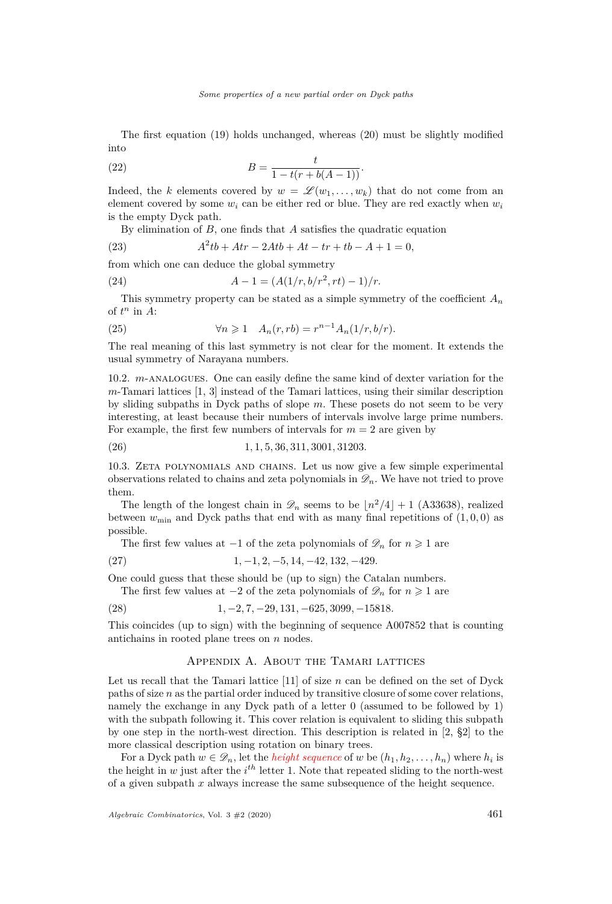The first equation [\(19\)](#page-28-2) holds unchanged, whereas [\(20\)](#page-28-3) must be slightly modified into

(22) 
$$
B = \frac{t}{1 - t(r + b(A - 1))}.
$$

Indeed, the *k* elements covered by  $w = \mathscr{L}(w_1, \ldots, w_k)$  that do not come from an element covered by some  $w_i$  can be either red or blue. They are red exactly when  $w_i$ is the empty Dyck path.

By elimination of *B*, one finds that *A* satisfies the quadratic equation

(23) 
$$
A^2tb + Atr - 2Atb + At - tr + tb - A + 1 = 0,
$$

from which one can deduce the global symmetry

(24) 
$$
A-1 = (A(1/r, b/r^2, rt) - 1)/r.
$$

This symmetry property can be stated as a simple symmetry of the coefficient *A<sup>n</sup>* of  $t^n$  in  $A$ :

(25) 
$$
\forall n \geq 1 \quad A_n(r, rb) = r^{n-1} A_n(1/r, b/r).
$$

The real meaning of this last symmetry is not clear for the moment. It extends the usual symmetry of Narayana numbers.

10.2. *m*-analogues. One can easily define the same kind of dexter variation for the *m*-Tamari lattices [\[1,](#page-30-14) [3\]](#page-30-15) instead of the Tamari lattices, using their similar description by sliding subpaths in Dyck paths of slope *m*. These posets do not seem to be very interesting, at least because their numbers of intervals involve large prime numbers. For example, the first few numbers of intervals for  $m = 2$  are given by

$$
(26) \t\t\t 1, 1, 5, 36, 311, 3001, 31203.
$$

10.3. Zeta polynomials and chains. Let us now give a few simple experimental observations related to chains and zeta polynomials in  $\mathscr{D}_n$ . We have not tried to prove them.

The length of the longest chain in  $\mathcal{D}_n$  seems to be  $\lfloor n^2/4 \rfloor + 1$  [\(A33638\)](https://oeis.org/A33638), realized between  $w_{\text{min}}$  and Dyck paths that end with as many final repetitions of  $(1, 0, 0)$  as possible.

The first few values at  $-1$  of the zeta polynomials of  $\mathscr{D}_n$  for  $n \geq 1$  are

$$
(27) \t1, -1, 2, -5, 14, -42, 132, -429.
$$

One could guess that these should be (up to sign) the Catalan numbers.

The first few values at  $-2$  of the zeta polynomials of  $\mathscr{D}_n$  for  $n \geq 1$  are

$$
(28) \t1, -2, 7, -29, 131, -625, 3099, -15818.
$$

This coincides (up to sign) with the beginning of sequence [A007852](https://oeis.org/A007852) that is counting antichains in rooted plane trees on *n* nodes.

# Appendix A. About the Tamari lattices

<span id="page-29-0"></span>Let us recall that the Tamari lattice  $[11]$  of size  $n$  can be defined on the set of Dyck paths of size *n* as the partial order induced by transitive closure of some cover relations, namely the exchange in any Dyck path of a letter 0 (assumed to be followed by 1) with the subpath following it. This cover relation is equivalent to sliding this subpath by one step in the north-west direction. This description is related in [\[2,](#page-30-11) §2] to the more classical description using rotation on binary trees.

<span id="page-29-1"></span>For a Dyck path  $w \in \mathscr{D}_n$ , let the *height sequence* of  $w$  be  $(h_1, h_2, \ldots, h_n)$  where  $h_i$  is the height in  $w$  just after the  $i^{th}$  letter 1. Note that repeated sliding to the north-west of a given subpath *x* always increase the same subsequence of the height sequence.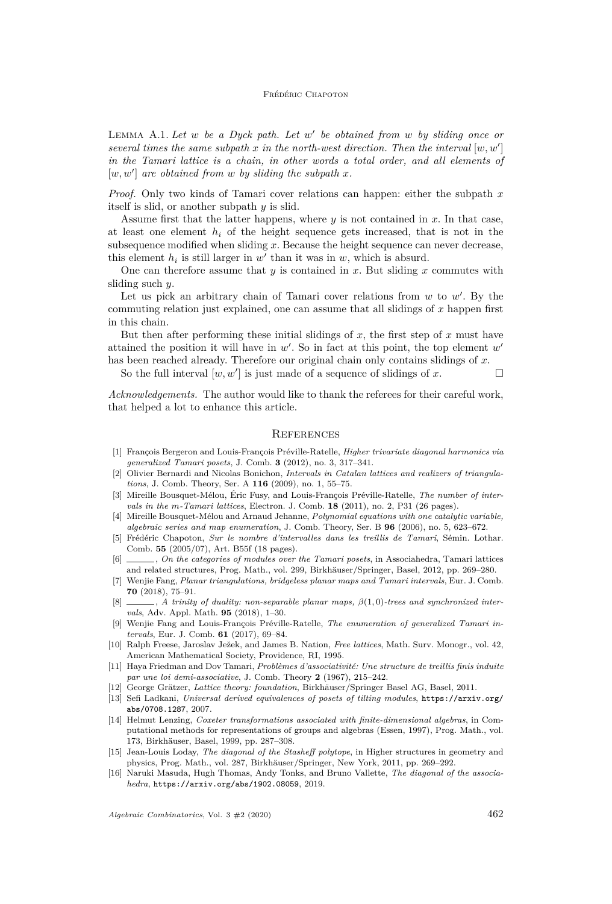#### Frédéric Chapoton

Lemma A.1. *Let w be a Dyck path. Let w* 0 *be obtained from w by sliding once or several times the same subpath*  $x$  *in the north-west direction. Then the interval*  $[w, w']$ *in the Tamari lattice is a chain, in other words a total order, and all elements of*  $[w, w']$  are obtained from  $w$  by sliding the subpath  $x$ .

*Proof.* Only two kinds of Tamari cover relations can happen: either the subpath *x* itself is slid, or another subpath *y* is slid.

Assume first that the latter happens, where *y* is not contained in *x*. In that case, at least one element  $h_i$  of the height sequence gets increased, that is not in the subsequence modified when sliding *x*. Because the height sequence can never decrease, this element  $h_i$  is still larger in  $w'$  than it was in  $w$ , which is absurd.

One can therefore assume that *y* is contained in *x*. But sliding *x* commutes with sliding such *y*.

Let us pick an arbitrary chain of Tamari cover relations from  $w$  to  $w'$ . By the commuting relation just explained, one can assume that all slidings of *x* happen first in this chain.

But then after performing these initial slidings of  $x$ , the first step of  $x$  must have attained the position it will have in  $w'$ . So in fact at this point, the top element  $w'$ has been reached already. Therefore our original chain only contains slidings of *x*.

So the full interval  $[w, w']$  is just made of a sequence of slidings of *x*.

*Acknowledgements.* The author would like to thank the referees for their careful work, that helped a lot to enhance this article.

#### **REFERENCES**

- <span id="page-30-14"></span>[1] François Bergeron and Louis-François Préville-Ratelle, *Higher trivariate diagonal harmonics via generalized Tamari posets*, J. Comb. **3** (2012), no. 3, 317–341.
- <span id="page-30-11"></span>[2] Olivier Bernardi and Nicolas Bonichon, *Intervals in Catalan lattices and realizers of triangulations*, J. Comb. Theory, Ser. A **116** (2009), no. 1, 55–75.
- <span id="page-30-15"></span>[3] Mireille Bousquet-Mélou, Éric Fusy, and Louis-François Préville-Ratelle, *The number of intervals in the m-Tamari lattices*, Electron. J. Comb. **18** (2011), no. 2, P31 (26 pages).
- <span id="page-30-12"></span>[4] Mireille Bousquet-Mélou and Arnaud Jehanne, *Polynomial equations with one catalytic variable, algebraic series and map enumeration*, J. Comb. Theory, Ser. B **96** (2006), no. 5, 623–672.
- <span id="page-30-0"></span>[5] Frédéric Chapoton, *Sur le nombre d'intervalles dans les treillis de Tamari*, Sémin. Lothar. Comb. **55** (2005/07), Art. B55f (18 pages).
- <span id="page-30-8"></span>[6] , *On the categories of modules over the Tamari posets*, in Associahedra, Tamari lattices and related structures, Prog. Math., vol. 299, Birkhäuser/Springer, Basel, 2012, pp. 269–280.
- <span id="page-30-3"></span>[7] Wenjie Fang, *Planar triangulations, bridgeless planar maps and Tamari intervals*, Eur. J. Comb. **70** (2018), 75–91.
- <span id="page-30-4"></span>[8] , *A trinity of duality: non-separable planar maps, β*(1*,* 0)*-trees and synchronized intervals*, Adv. Appl. Math. **95** (2018), 1–30.
- <span id="page-30-5"></span>[9] Wenjie Fang and Louis-François Préville-Ratelle, *The enumeration of generalized Tamari intervals*, Eur. J. Comb. **61** (2017), 69–84.
- <span id="page-30-6"></span>[10] Ralph Freese, Jaroslav Ježek, and James B. Nation, *Free lattices*, Math. Surv. Monogr., vol. 42, American Mathematical Society, Providence, RI, 1995.
- <span id="page-30-10"></span>[11] Haya Friedman and Dov Tamari, *Problèmes d'associativité: Une structure de treillis finis induite par une loi demi-associative*, J. Comb. Theory **2** (1967), 215–242.
- <span id="page-30-7"></span>[12] George Grätzer, *Lattice theory: foundation*, Birkhäuser/Springer Basel AG, Basel, 2011.
- <span id="page-30-13"></span>[13] Sefi Ladkani, *Universal derived equivalences of posets of tilting modules*, [https://arxiv.org/](https://arxiv.org/abs/0708.1287) [abs/0708.1287](https://arxiv.org/abs/0708.1287), 2007.
- <span id="page-30-9"></span>[14] Helmut Lenzing, *Coxeter transformations associated with finite-dimensional algebras*, in Computational methods for representations of groups and algebras (Essen, 1997), Prog. Math., vol. 173, Birkhäuser, Basel, 1999, pp. 287–308.
- <span id="page-30-1"></span>[15] Jean-Louis Loday, *The diagonal of the Stasheff polytope*, in Higher structures in geometry and physics, Prog. Math., vol. 287, Birkhäuser/Springer, New York, 2011, pp. 269–292.
- <span id="page-30-2"></span>[16] Naruki Masuda, Hugh Thomas, Andy Tonks, and Bruno Vallette, *The diagonal of the associahedra*, <https://arxiv.org/abs/1902.08059>, 2019.